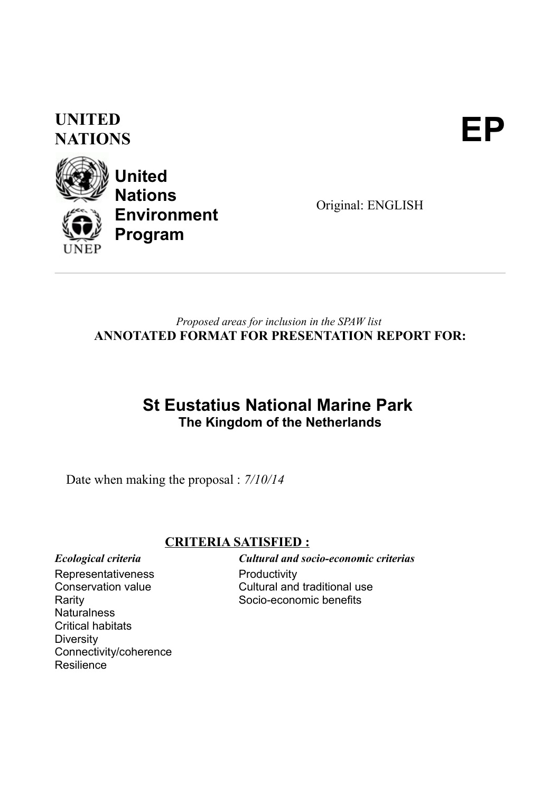# **UNITED** UNITED<br>NATIONS



**United Nations Environment Program**

Original: ENGLISH

# *Proposed areas for inclusion in the SPAW list* **ANNOTATED FORMAT FOR PRESENTATION REPORT FOR:**

# **St Eustatius National Marine Park The Kingdom of the Netherlands**

Date when making the proposal : *7/10/14*

# **CRITERIA SATISFIED :**

Representativeness Conservation value Rarity **Naturalness** Critical habitats

Connectivity/coherence

**Diversity** 

**Resilience** 

*Ecological criteria Cultural and socio-economic criterias* **Productivity** Cultural and traditional use Socio-economic benefits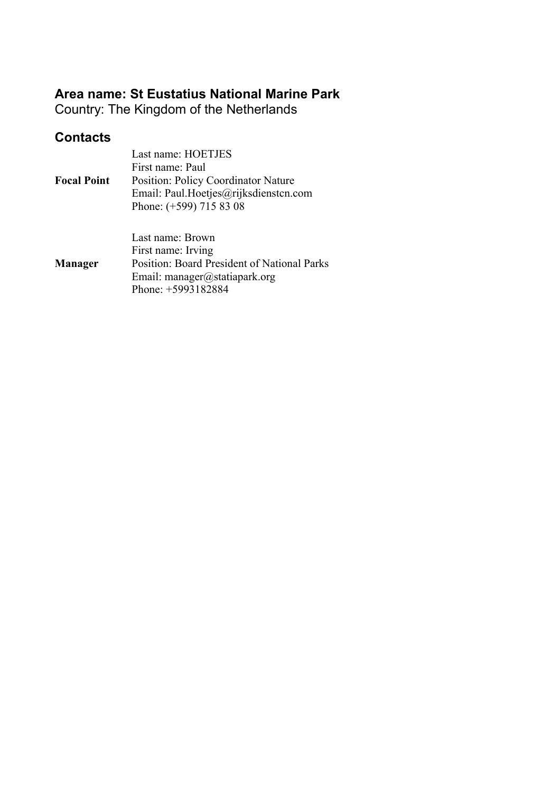# **Area name: St Eustatius National Marine Park**

Country: The Kingdom of the Netherlands

# **Contacts**

|                    | Last name: HOETJES                          |
|--------------------|---------------------------------------------|
|                    | First name: Paul                            |
| <b>Focal Point</b> | Position: Policy Coordinator Nature         |
|                    | Email: Paul.Hoetjes@rijksdienstcn.com       |
|                    | Phone: (+599) 715 83 08                     |
|                    |                                             |
|                    | Last name: Brown                            |
|                    | First name: Irving                          |
| <b>Manager</b>     | Position: Board President of National Parks |
|                    | Email: manager@statiapark.org               |
|                    | Phone: +5993182884                          |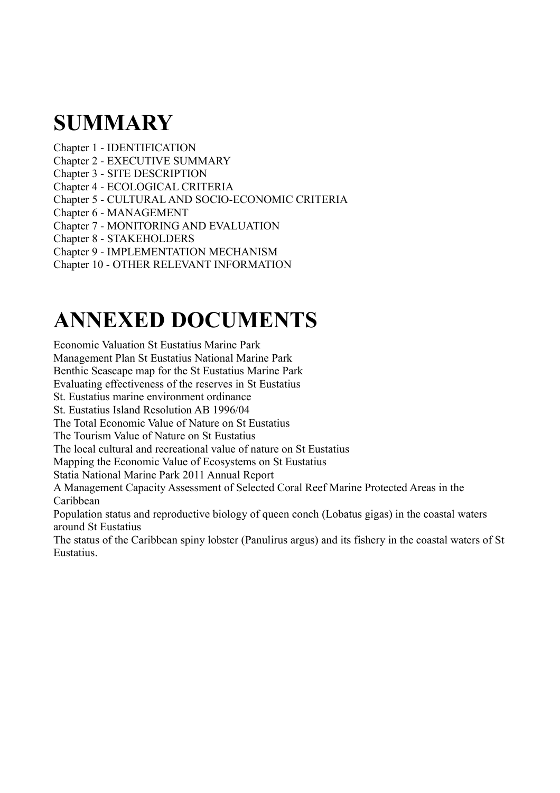# **SUMMARY**

Chapter 1 - IDENTIFICATION Chapter 2 - EXECUTIVE SUMMARY Chapter 3 - SITE DESCRIPTION Chapter 4 - ECOLOGICAL CRITERIA Chapter 5 - CULTURAL AND SOCIO-ECONOMIC CRITERIA Chapter 6 - MANAGEMENT Chapter 7 - MONITORING AND EVALUATION Chapter 8 - STAKEHOLDERS Chapter 9 - IMPLEMENTATION MECHANISM

### Chapter 10 - OTHER RELEVANT INFORMATION

# **ANNEXED DOCUMENTS**

Economic Valuation St Eustatius Marine Park Management Plan St Eustatius National Marine Park Benthic Seascape map for the St Eustatius Marine Park Evaluating effectiveness of the reserves in St Eustatius St. Eustatius marine environment ordinance St. Eustatius Island Resolution AB 1996/04 The Total Economic Value of Nature on St Eustatius The Tourism Value of Nature on St Eustatius The local cultural and recreational value of nature on St Eustatius Mapping the Economic Value of Ecosystems on St Eustatius Statia National Marine Park 2011 Annual Report A Management Capacity Assessment of Selected Coral Reef Marine Protected Areas in the Caribbean Population status and reproductive biology of queen conch (Lobatus gigas) in the coastal waters around St Eustatius The status of the Caribbean spiny lobster (Panulirus argus) and its fishery in the coastal waters of St Eustatius.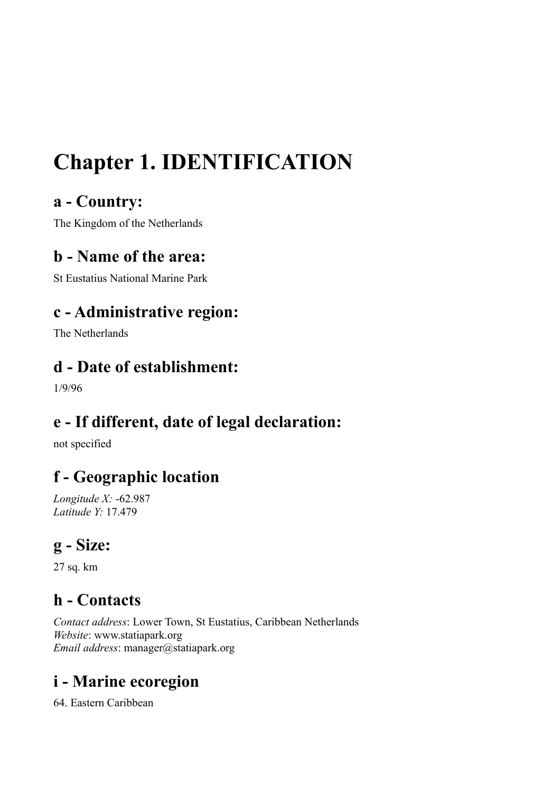# **Chapter 1. IDENTIFICATION**

# **a - Country:**

The Kingdom of the Netherlands

# **b - Name of the area:**

St Eustatius National Marine Park

# **c - Administrative region:**

The Netherlands

# **d - Date of establishment:**

1/9/96

# **e - If different, date of legal declaration:**

not specified

# **f - Geographic location**

*Longitude X:* -62.987 *Latitude Y:* 17.479

# **g - Size:**

27 sq. km

# **h - Contacts**

*Contact address*: Lower Town, St Eustatius, Caribbean Netherlands *Website*: www.statiapark.org *Email address*: manager@statiapark.org

# **i - Marine ecoregion**

64. Eastern Caribbean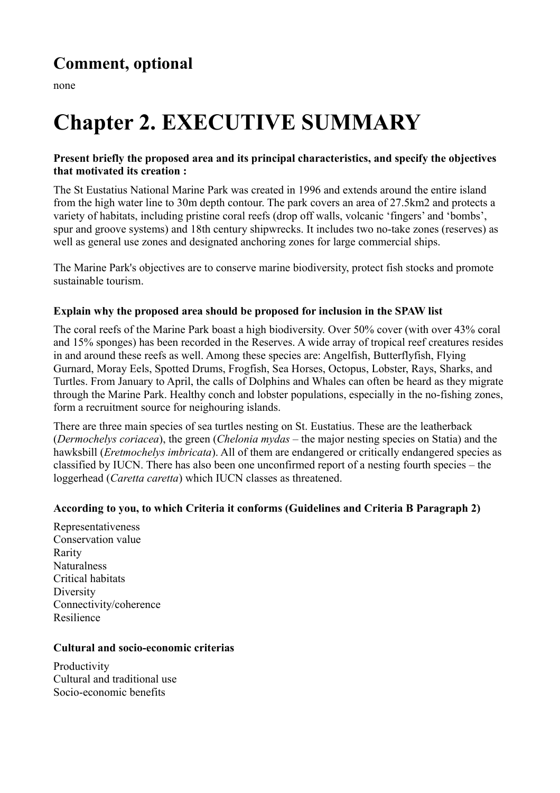none

# **Chapter 2. EXECUTIVE SUMMARY**

# **Present briefly the proposed area and its principal characteristics, and specify the objectives that motivated its creation :**

The St Eustatius National Marine Park was created in 1996 and extends around the entire island from the high water line to 30m depth contour. The park covers an area of 27.5km2 and protects a variety of habitats, including pristine coral reefs (drop off walls, volcanic 'fingers' and 'bombs', spur and groove systems) and 18th century shipwrecks. It includes two no-take zones (reserves) as well as general use zones and designated anchoring zones for large commercial ships.

The Marine Park's objectives are to conserve marine biodiversity, protect fish stocks and promote sustainable tourism.

# **Explain why the proposed area should be proposed for inclusion in the SPAW list**

The coral reefs of the Marine Park boast a high biodiversity. Over 50% cover (with over 43% coral and 15% sponges) has been recorded in the Reserves. A wide array of tropical reef creatures resides in and around these reefs as well. Among these species are: Angelfish, Butterflyfish, Flying Gurnard, Moray Eels, Spotted Drums, Frogfish, Sea Horses, Octopus, Lobster, Rays, Sharks, and Turtles. From January to April, the calls of Dolphins and Whales can often be heard as they migrate through the Marine Park. Healthy conch and lobster populations, especially in the no-fishing zones, form a recruitment source for neighouring islands.

There are three main species of sea turtles nesting on St. Eustatius. These are the leatherback (*Dermochelys coriacea*), the green (*Chelonia mydas* – the major nesting species on Statia) and the hawksbill (*Eretmochelys imbricata*). All of them are endangered or critically endangered species as classified by IUCN. There has also been one unconfirmed report of a nesting fourth species – the loggerhead (*Caretta caretta*) which IUCN classes as threatened.

### **According to you, to which Criteria it conforms (Guidelines and Criteria B Paragraph 2)**

Representativeness Conservation value Rarity **Naturalness** Critical habitats Diversity Connectivity/coherence Resilience

### **Cultural and socio-economic criterias**

**Productivity** Cultural and traditional use Socio-economic benefits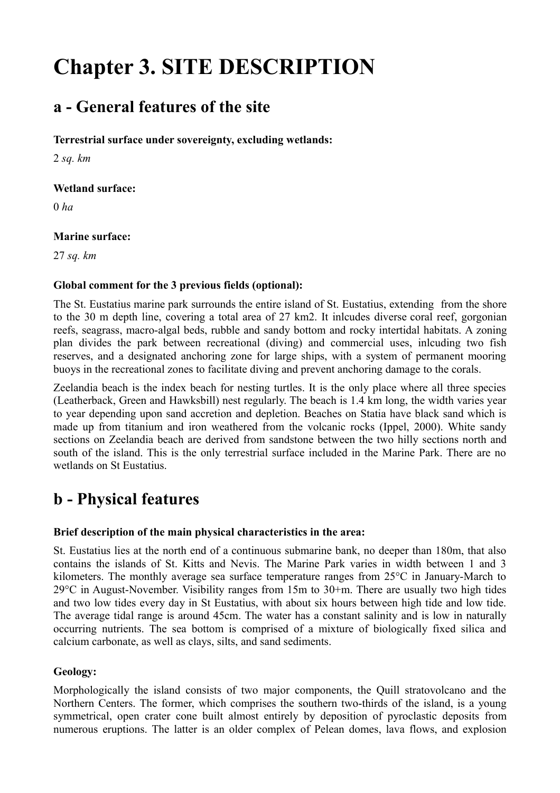# **Chapter 3. SITE DESCRIPTION**

# **a - General features of the site**

# **Terrestrial surface under sovereignty, excluding wetlands:**

2 *sq. km*

## **Wetland surface:**

0 *ha*

# **Marine surface:**

27 *sq. km*

# **Global comment for the 3 previous fields (optional):**

The St. Eustatius marine park surrounds the entire island of St. Eustatius, extending from the shore to the 30 m depth line, covering a total area of 27 km2. It inlcudes diverse coral reef, gorgonian reefs, seagrass, macro-algal beds, rubble and sandy bottom and rocky intertidal habitats. A zoning plan divides the park between recreational (diving) and commercial uses, inlcuding two fish reserves, and a designated anchoring zone for large ships, with a system of permanent mooring buoys in the recreational zones to facilitate diving and prevent anchoring damage to the corals.

Zeelandia beach is the index beach for nesting turtles. It is the only place where all three species (Leatherback, Green and Hawksbill) nest regularly. The beach is 1.4 km long, the width varies year to year depending upon sand accretion and depletion. Beaches on Statia have black sand which is made up from titanium and iron weathered from the volcanic rocks (Ippel, 2000). White sandy sections on Zeelandia beach are derived from sandstone between the two hilly sections north and south of the island. This is the only terrestrial surface included in the Marine Park. There are no wetlands on St Eustatius.

# **b - Physical features**

### **Brief description of the main physical characteristics in the area:**

St. Eustatius lies at the north end of a continuous submarine bank, no deeper than 180m, that also contains the islands of St. Kitts and Nevis. The Marine Park varies in width between 1 and 3 kilometers. The monthly average sea surface temperature ranges from 25°C in January-March to 29°C in August-November. Visibility ranges from 15m to 30+m. There are usually two high tides and two low tides every day in St Eustatius, with about six hours between high tide and low tide. The average tidal range is around 45cm. The water has a constant salinity and is low in naturally occurring nutrients. The sea bottom is comprised of a mixture of biologically fixed silica and calcium carbonate, as well as clays, silts, and sand sediments.

# **Geology:**

Morphologically the island consists of two major components, the Quill stratovolcano and the Northern Centers. The former, which comprises the southern two-thirds of the island, is a young symmetrical, open crater cone built almost entirely by deposition of pyroclastic deposits from numerous eruptions. The latter is an older complex of Pelean domes, lava flows, and explosion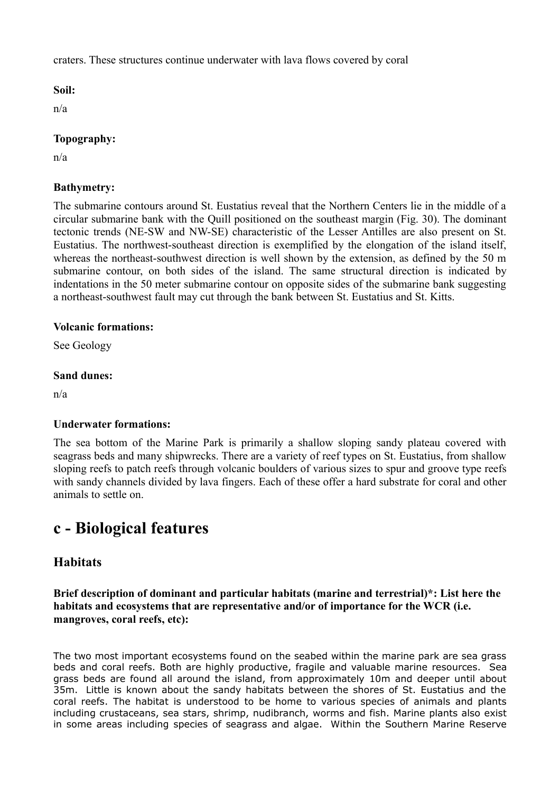craters. These structures continue underwater with lava flows covered by coral

### **Soil:**

n/a

# **Topography:**

n/a

# **Bathymetry:**

The submarine contours around St. Eustatius reveal that the Northern Centers lie in the middle of a circular submarine bank with the Quill positioned on the southeast margin (Fig. 30). The dominant tectonic trends (NE-SW and NW-SE) characteristic of the Lesser Antilles are also present on St. Eustatius. The northwest-southeast direction is exemplified by the elongation of the island itself, whereas the northeast-southwest direction is well shown by the extension, as defined by the 50 m submarine contour, on both sides of the island. The same structural direction is indicated by indentations in the 50 meter submarine contour on opposite sides of the submarine bank suggesting a northeast-southwest fault may cut through the bank between St. Eustatius and St. Kitts.

### **Volcanic formations:**

See Geology

### **Sand dunes:**

n/a

### **Underwater formations:**

The sea bottom of the Marine Park is primarily a shallow sloping sandy plateau covered with seagrass beds and many shipwrecks. There are a variety of reef types on St. Eustatius, from shallow sloping reefs to patch reefs through volcanic boulders of various sizes to spur and groove type reefs with sandy channels divided by lava fingers. Each of these offer a hard substrate for coral and other animals to settle on.

# **c - Biological features**

# **Habitats**

**Brief description of dominant and particular habitats (marine and terrestrial)\*: List here the habitats and ecosystems that are representative and/or of importance for the WCR (i.e. mangroves, coral reefs, etc):** 

The two most important ecosystems found on the seabed within the marine park are sea grass beds and coral reefs. Both are highly productive, fragile and valuable marine resources. Sea grass beds are found all around the island, from approximately 10m and deeper until about 35m. Little is known about the sandy habitats between the shores of St. Eustatius and the coral reefs. The habitat is understood to be home to various species of animals and plants including crustaceans, sea stars, shrimp, nudibranch, worms and fish. Marine plants also exist in some areas including species of seagrass and algae. Within the Southern Marine Reserve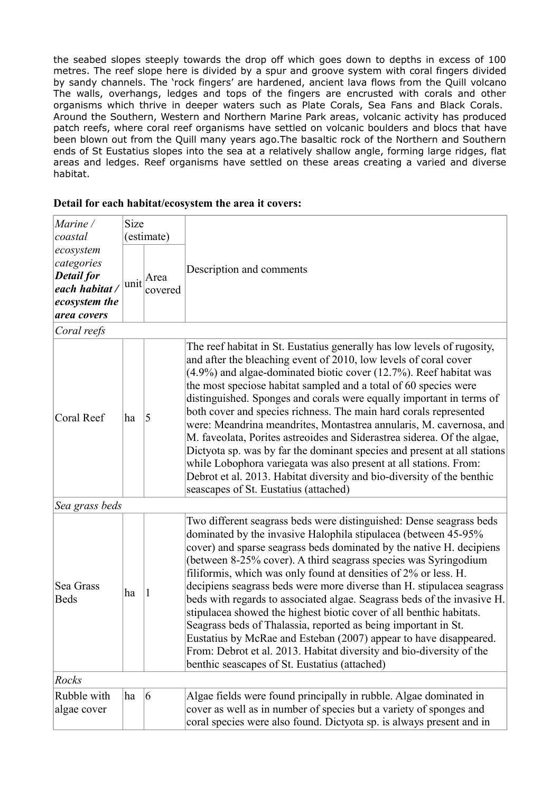the seabed slopes steeply towards the drop off which goes down to depths in excess of 100 metres. The reef slope here is divided by a spur and groove system with coral fingers divided by sandy channels. The 'rock fingers' are hardened, ancient lava flows from the Quill volcano The walls, overhangs, ledges and tops of the fingers are encrusted with corals and other organisms which thrive in deeper waters such as Plate Corals, Sea Fans and Black Corals. Around the Southern, Western and Northern Marine Park areas, volcanic activity has produced patch reefs, where coral reef organisms have settled on volcanic boulders and blocs that have been blown out from the Quill many years ago.The basaltic rock of the Northern and Southern ends of St Eustatius slopes into the sea at a relatively shallow angle, forming large ridges, flat areas and ledges. Reef organisms have settled on these areas creating a varied and diverse habitat.

#### *Marine / coastal ecosystem categories Detail for each habitat / ecosystem the area covers* Size (estimate) Description and comments unit  $Area$ covered *Coral reefs* Coral Reef  $\|$ ha  $\|$ 5 The reef habitat in St. Eustatius generally has low levels of rugosity, and after the bleaching event of 2010, low levels of coral cover (4.9%) and algae-dominated biotic cover (12.7%). Reef habitat was the most speciose habitat sampled and a total of 60 species were distinguished. Sponges and corals were equally important in terms of both cover and species richness. The main hard corals represented were: Meandrina meandrites, Montastrea annularis, M. cavernosa, and M. faveolata, Porites astreoides and Siderastrea siderea. Of the algae, Dictyota sp. was by far the dominant species and present at all stations while Lobophora variegata was also present at all stations. From: Debrot et al. 2013. Habitat diversity and bio-diversity of the benthic seascapes of St. Eustatius (attached) *Sea grass beds* Sea Grass Beds  $\begin{vmatrix} ha & 1 \end{vmatrix}$ Two different seagrass beds were distinguished: Dense seagrass beds dominated by the invasive Halophila stipulacea (between 45-95% cover) and sparse seagrass beds dominated by the native H. decipiens (between 8-25% cover). A third seagrass species was Syringodium filiformis, which was only found at densities of 2% or less. H. decipiens seagrass beds were more diverse than H. stipulacea seagrass beds with regards to associated algae. Seagrass beds of the invasive H. stipulacea showed the highest biotic cover of all benthic habitats. Seagrass beds of Thalassia, reported as being important in St. Eustatius by McRae and Esteban (2007) appear to have disappeared. From: Debrot et al. 2013. Habitat diversity and bio-diversity of the benthic seascapes of St. Eustatius (attached) *Rocks* Rubble with algae cover ha <sup>6</sup> Algae fields were found principally in rubble. Algae dominated in cover as well as in number of species but a variety of sponges and

coral species were also found. Dictyota sp. is always present and in

### **Detail for each habitat/ecosystem the area it covers:**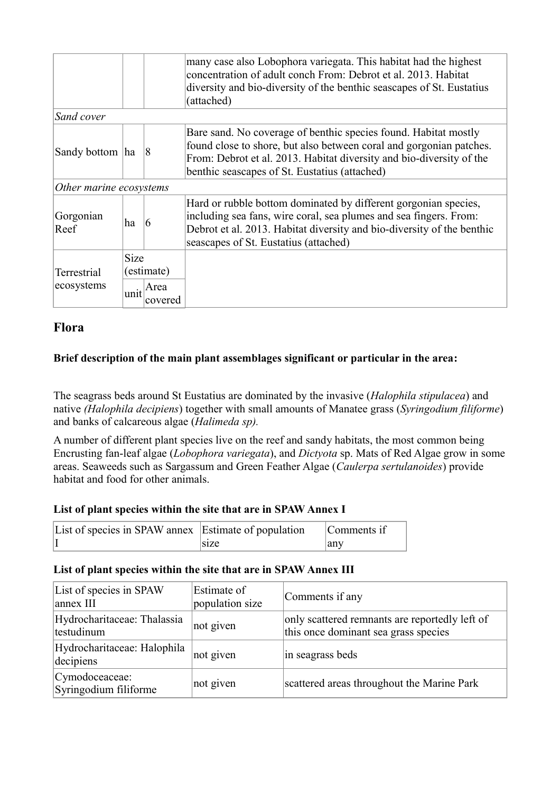|                         |             |                 | many case also Lobophora variegata. This habitat had the highest<br>concentration of adult conch From: Debrot et al. 2013. Habitat<br>diversity and bio-diversity of the benthic seascapes of St. Eustatius<br>(attached)                                       |
|-------------------------|-------------|-----------------|-----------------------------------------------------------------------------------------------------------------------------------------------------------------------------------------------------------------------------------------------------------------|
| Sand cover              |             |                 |                                                                                                                                                                                                                                                                 |
| Sandy bottom ha         |             | $\overline{8}$  | Bare sand. No coverage of benthic species found. Habitat mostly<br>found close to shore, but also between coral and gorgonian patches.<br>From: Debrot et al. 2013. Habitat diversity and bio-diversity of the<br>benthic seascapes of St. Eustatius (attached) |
| Other marine ecosystems |             |                 |                                                                                                                                                                                                                                                                 |
| Gorgonian<br>Reef       | ha          | 6               | Hard or rubble bottom dominated by different gorgonian species,<br>including sea fans, wire coral, sea plumes and sea fingers. From:<br>Debrot et al. 2013. Habitat diversity and bio-diversity of the benthic<br>seascapes of St. Eustatius (attached)         |
|                         | <b>Size</b> |                 |                                                                                                                                                                                                                                                                 |
| <b>Terrestrial</b>      |             | (estimate)      |                                                                                                                                                                                                                                                                 |
| ecosystems              | unit        | Area<br>covered |                                                                                                                                                                                                                                                                 |

# **Flora**

# **Brief description of the main plant assemblages significant or particular in the area:**

The seagrass beds around St Eustatius are dominated by the invasive (*Halophila stipulacea*) and native *(Halophila decipiens*) together with small amounts of Manatee grass (*Syringodium filiforme*) and banks of calcareous algae (*Halimeda sp).*

A number of different plant species live on the reef and sandy habitats, the most common being Encrusting fan-leaf algae (*Lobophora variegata*), and *Dictyota* sp. Mats of Red Algae grow in some areas. Seaweeds such as Sargassum and Green Feather Algae (*Caulerpa sertulanoides*) provide habitat and food for other animals.

# **List of plant species within the site that are in SPAW Annex I**

| List of species in SPAW annex Estimate of population |                   | Comments if |
|------------------------------------------------------|-------------------|-------------|
|                                                      | s <sub>1</sub> ze | any         |

### **List of plant species within the site that are in SPAW Annex III**

| List of species in SPAW<br>annex III      | Estimate of<br>population size | Comments if any                                                                        |
|-------------------------------------------|--------------------------------|----------------------------------------------------------------------------------------|
| Hydrocharitaceae: Thalassia<br>testudinum | not given                      | only scattered remnants are reportedly left of<br>this once dominant sea grass species |
| Hydrocharitaceae: Halophila<br>decipiens  | not given                      | in seagrass beds                                                                       |
| Cymodoceaceae:<br>Syringodium filiforme   | not given                      | scattered areas throughout the Marine Park                                             |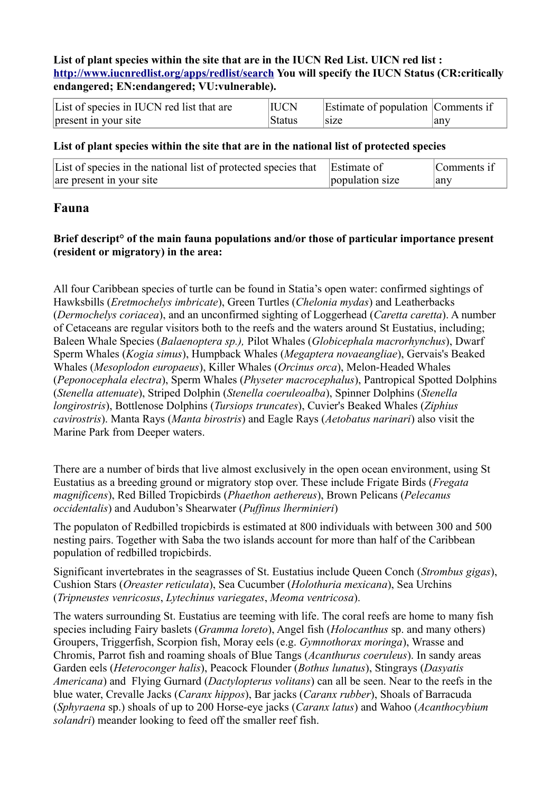### **List of plant species within the site that are in the IUCN Red List. UICN red list : <http://www.iucnredlist.org/apps/redlist/search>You will specify the IUCN Status (CR:critically endangered; EN:endangered; VU:vulnerable).**

| List of species in IUCN red list that are | <b>IUCN</b> | Estimate of population Comments if |     |
|-------------------------------------------|-------------|------------------------------------|-----|
| present in your site                      | ∣Status     | size                               | anv |

### **List of plant species within the site that are in the national list of protected species**

| List of species in the national list of protected species that Estimate of |                 | Comments if |
|----------------------------------------------------------------------------|-----------------|-------------|
| are present in your site                                                   | population size | any         |

# **Fauna**

## **Brief descript° of the main fauna populations and/or those of particular importance present (resident or migratory) in the area:**

All four Caribbean species of turtle can be found in Statia's open water: confirmed sightings of Hawksbills (*Eretmochelys imbricate*), Green Turtles (*Chelonia mydas*) and Leatherbacks (*Dermochelys coriacea*), and an unconfirmed sighting of Loggerhead (*Caretta caretta*). A number of Cetaceans are regular visitors both to the reefs and the waters around St Eustatius, including; Baleen Whale Species (*Balaenoptera sp.),* Pilot Whales (*Globicephala macrorhynchus*), Dwarf Sperm Whales (*Kogia simus*), Humpback Whales (*Megaptera novaeangliae*), Gervais's Beaked Whales (*Mesoplodon europaeus*), Killer Whales (*Orcinus orca*), Melon-Headed Whales (*Peponocephala electra*), Sperm Whales (*Physeter macrocephalus*), Pantropical Spotted Dolphins (*Stenella attenuate*), Striped Dolphin (*Stenella coeruleoalba*), Spinner Dolphins (*Stenella longirostris*), Bottlenose Dolphins (*Tursiops truncates*), Cuvier's Beaked Whales (*Ziphius cavirostris*). Manta Rays (*Manta birostris*) and Eagle Rays (*Aetobatus narinari*) also visit the Marine Park from Deeper waters.

There are a number of birds that live almost exclusively in the open ocean environment, using St Eustatius as a breeding ground or migratory stop over. These include Frigate Birds (*Fregata magnificens*), Red Billed Tropicbirds (*Phaethon aethereus*), Brown Pelicans (*Pelecanus occidentalis*) and Audubon's Shearwater (*Puffinus lherminieri*)

The populaton of Redbilled tropicbirds is estimated at 800 individuals with between 300 and 500 nesting pairs. Together with Saba the two islands account for more than half of the Caribbean population of redbilled tropicbirds.

Significant invertebrates in the seagrasses of St. Eustatius include Queen Conch (*Strombus gigas*), Cushion Stars (*Oreaster reticulata*), Sea Cucumber (*Holothuria mexicana*), Sea Urchins (*Tripneustes venricosus*, *Lytechinus variegates*, *Meoma ventricosa*).

The waters surrounding St. Eustatius are teeming with life. The coral reefs are home to many fish species including Fairy baslets (*Gramma loreto*), Angel fish (*Holocanthus* sp. and many others) Groupers, Triggerfish, Scorpion fish, Moray eels (e.g. *Gymnothorax moringa*), Wrasse and Chromis, Parrot fish and roaming shoals of Blue Tangs (*Acanthurus coeruleus*). In sandy areas Garden eels (*Heteroconger halis*), Peacock Flounder (*Bothus lunatus*), Stingrays (*Dasyatis Americana*) and Flying Gurnard (*Dactylopterus volitans*) can all be seen. Near to the reefs in the blue water, Crevalle Jacks (*Caranx hippos*), Bar jacks (*Caranx rubber*), Shoals of Barracuda (*Sphyraena* sp.) shoals of up to 200 Horse-eye jacks (*Caranx latus*) and Wahoo (*Acanthocybium solandri*) meander looking to feed off the smaller reef fish.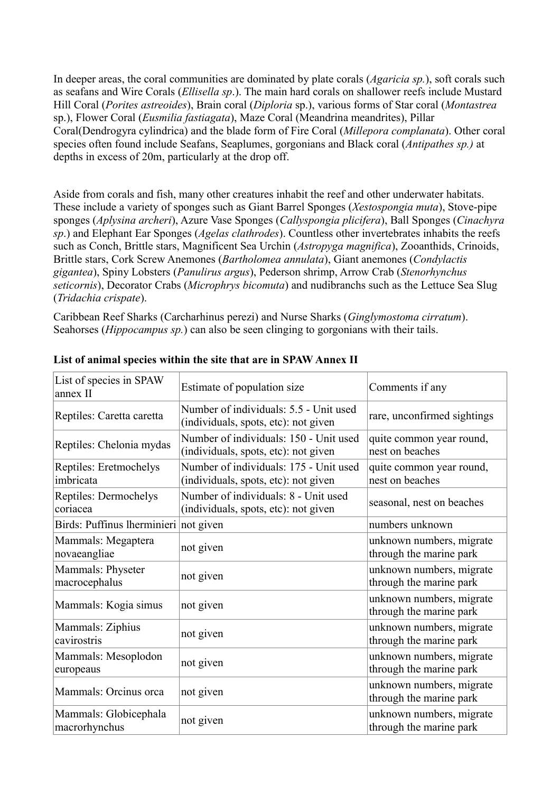In deeper areas, the coral communities are dominated by plate corals (*Agaricia sp.*), soft corals such as seafans and Wire Corals (*Ellisella sp*.). The main hard corals on shallower reefs include Mustard Hill Coral (*Porites astreoides*), Brain coral (*Diploria* sp.), various forms of Star coral (*Montastrea* sp.), Flower Coral (*Eusmilia fastiagata*), Maze Coral (Meandrina meandrites), Pillar Coral(Dendrogyra cylindrica) and the blade form of Fire Coral (*Millepora complanata*). Other coral species often found include Seafans, Seaplumes, gorgonians and Black coral (*Antipathes sp.)* at depths in excess of 20m, particularly at the drop off.

Aside from corals and fish, many other creatures inhabit the reef and other underwater habitats. These include a variety of sponges such as Giant Barrel Sponges (*Xestospongia muta*), Stove-pipe sponges (*Aplysina archeri*), Azure Vase Sponges (*Callyspongia plicifera*), Ball Sponges (*Cinachyra sp*.) and Elephant Ear Sponges (*Agelas clathrodes*). Countless other invertebrates inhabits the reefs such as Conch, Brittle stars, Magnificent Sea Urchin (*Astropyga magnifica*), Zooanthids, Crinoids, Brittle stars, Cork Screw Anemones (*Bartholomea annulata*), Giant anemones (*Condylactis gigantea*), Spiny Lobsters (*Panulirus argus*), Pederson shrimp, Arrow Crab (*Stenorhynchus seticornis*), Decorator Crabs (*Microphrys bicomuta*) and nudibranchs such as the Lettuce Sea Slug (*Tridachia crispate*).

Caribbean Reef Sharks (Carcharhinus perezi) and Nurse Sharks (*Ginglymostoma cirratum*). Seahorses (*Hippocampus sp.*) can also be seen clinging to gorgonians with their tails.

| List of species in SPAW<br>annex II    | Estimate of population size                                                    | Comments if any                                     |
|----------------------------------------|--------------------------------------------------------------------------------|-----------------------------------------------------|
| Reptiles: Caretta caretta              | Number of individuals: 5.5 - Unit used<br>(individuals, spots, etc): not given | rare, unconfirmed sightings                         |
| Reptiles: Chelonia mydas               | Number of individuals: 150 - Unit used<br>(individuals, spots, etc): not given | quite common year round,<br>nest on beaches         |
| Reptiles: Eretmochelys<br>imbricata    | Number of individuals: 175 - Unit used<br>(individuals, spots, etc): not given | quite common year round,<br>nest on beaches         |
| Reptiles: Dermochelys<br>coriacea      | Number of individuals: 8 - Unit used<br>(individuals, spots, etc): not given   | seasonal, nest on beaches                           |
| Birds: Puffinus lherminieri not given  |                                                                                | numbers unknown                                     |
| Mammals: Megaptera<br>novaeangliae     | not given                                                                      | unknown numbers, migrate<br>through the marine park |
| Mammals: Physeter<br>macrocephalus     | not given                                                                      | unknown numbers, migrate<br>through the marine park |
| Mammals: Kogia simus                   | not given                                                                      | unknown numbers, migrate<br>through the marine park |
| Mammals: Ziphius<br>cavirostris        | not given                                                                      | unknown numbers, migrate<br>through the marine park |
| Mammals: Mesoplodon<br>europeaus       | not given                                                                      | unknown numbers, migrate<br>through the marine park |
| Mammals: Orcinus orca                  | not given                                                                      | unknown numbers, migrate<br>through the marine park |
| Mammals: Globicephala<br>macrorhynchus | not given                                                                      | unknown numbers, migrate<br>through the marine park |

### **List of animal species within the site that are in SPAW Annex II**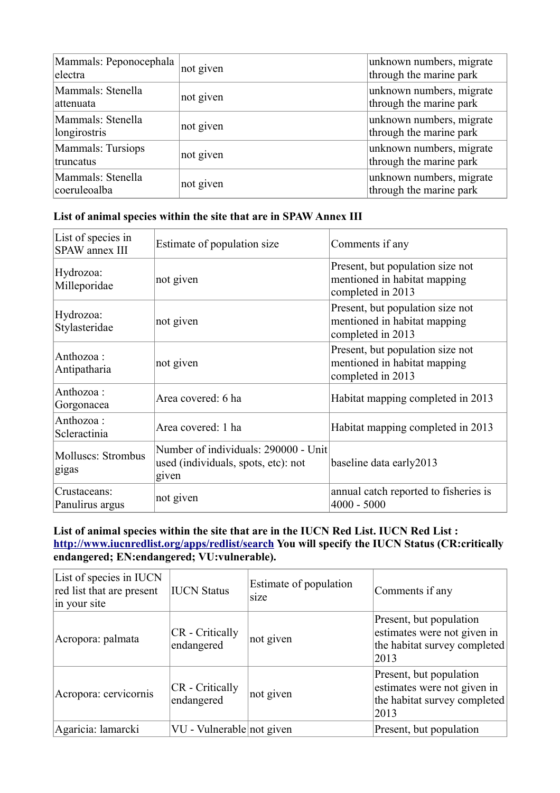| Mammals: Peponocephala<br>electra | not given | unknown numbers, migrate<br>through the marine park |
|-----------------------------------|-----------|-----------------------------------------------------|
| Mammals: Stenella<br>lattenuata   | not given | unknown numbers, migrate<br>through the marine park |
| Mammals: Stenella<br>longirostris | not given | unknown numbers, migrate<br>through the marine park |
| Mammals: Tursiops<br>truncatus    | not given | unknown numbers, migrate<br>through the marine park |
| Mammals: Stenella<br>coeruleoalba | not given | unknown numbers, migrate<br>through the marine park |

# **List of animal species within the site that are in SPAW Annex III**

| List of species in<br>SPAW annex III | Estimate of population size                                                          | Comments if any                                                                       |
|--------------------------------------|--------------------------------------------------------------------------------------|---------------------------------------------------------------------------------------|
| Hydrozoa:<br>Milleporidae            | not given                                                                            | Present, but population size not<br>mentioned in habitat mapping<br>completed in 2013 |
| Hydrozoa:<br>Stylasteridae           | not given                                                                            | Present, but population size not<br>mentioned in habitat mapping<br>completed in 2013 |
| Anthozoa:<br>Antipatharia            | not given                                                                            | Present, but population size not<br>mentioned in habitat mapping<br>completed in 2013 |
| Anthozoa:<br>Gorgonacea              | Area covered: 6 ha                                                                   | Habitat mapping completed in 2013                                                     |
| Anthozoa:<br>Scleractinia            | Area covered: 1 ha                                                                   | Habitat mapping completed in 2013                                                     |
| Molluscs: Strombus<br>gigas          | Number of individuals: 290000 - Unit<br>used (individuals, spots, etc): not<br>given | baseline data early 2013                                                              |
| Crustaceans:<br>Panulirus argus      | not given                                                                            | annual catch reported to fisheries is<br>$4000 - 5000$                                |

# **List of animal species within the site that are in the IUCN Red List. IUCN Red List : <http://www.iucnredlist.org/apps/redlist/search>You will specify the IUCN Status (CR:critically endangered; EN:endangered; VU:vulnerable).**

| List of species in IUCN<br>red list that are present<br>in your site | <b>IUCN Status</b>                   | Estimate of population<br>size | Comments if any                                                                                |
|----------------------------------------------------------------------|--------------------------------------|--------------------------------|------------------------------------------------------------------------------------------------|
| Acropora: palmata                                                    | <b>CR</b> - Critically<br>endangered | not given                      | Present, but population<br>estimates were not given in<br>the habitat survey completed<br>2013 |
| Acropora: cervicornis                                                | CR - Critically<br>endangered        | not given                      | Present, but population<br>estimates were not given in<br>the habitat survey completed<br>2013 |
| Agaricia: lamarcki                                                   | VU - Vulnerable not given            |                                | Present, but population                                                                        |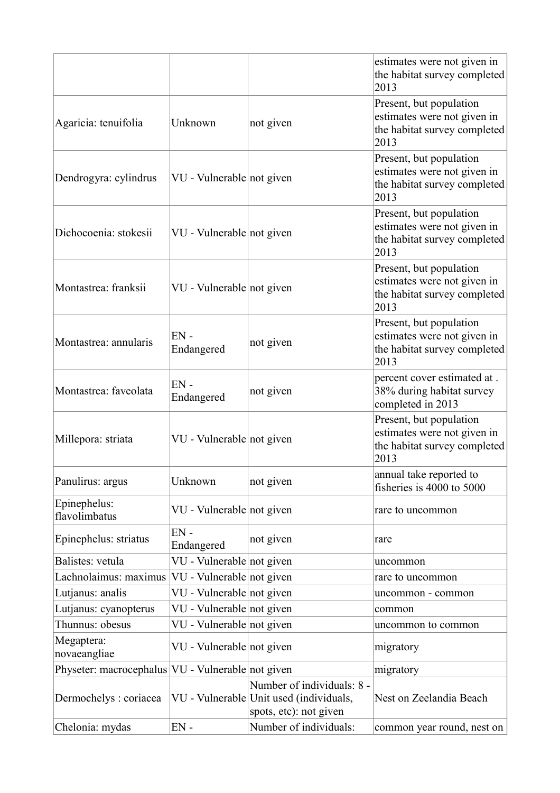|                                                   |                           |                                                                                                 | estimates were not given in<br>the habitat survey completed<br>2013                            |
|---------------------------------------------------|---------------------------|-------------------------------------------------------------------------------------------------|------------------------------------------------------------------------------------------------|
| Agaricia: tenuifolia                              | Unknown                   | not given                                                                                       | Present, but population<br>estimates were not given in<br>the habitat survey completed<br>2013 |
| Dendrogyra: cylindrus                             | VU - Vulnerable not given |                                                                                                 | Present, but population<br>estimates were not given in<br>the habitat survey completed<br>2013 |
| Dichocoenia: stokesii                             | VU - Vulnerable not given |                                                                                                 | Present, but population<br>estimates were not given in<br>the habitat survey completed<br>2013 |
| Montastrea: franksii                              | VU - Vulnerable not given |                                                                                                 | Present, but population<br>estimates were not given in<br>the habitat survey completed<br>2013 |
| Montastrea: annularis                             | $EN -$<br>Endangered      | not given                                                                                       | Present, but population<br>estimates were not given in<br>the habitat survey completed<br>2013 |
| Montastrea: faveolata                             | $EN -$<br>Endangered      | not given                                                                                       | percent cover estimated at .<br>38% during habitat survey<br>completed in 2013                 |
| Millepora: striata                                | VU - Vulnerable not given |                                                                                                 | Present, but population<br>estimates were not given in<br>the habitat survey completed<br>2013 |
| Panulirus: argus                                  | Unknown                   | not given                                                                                       | annual take reported to<br>fisheries is 4000 to 5000                                           |
| Epinephelus:<br>flavolimbatus                     | VU - Vulnerable not given |                                                                                                 | rare to uncommon                                                                               |
| Epinephelus: striatus                             | $EN -$<br>Endangered      | not given                                                                                       | rare                                                                                           |
| Balistes: vetula                                  | VU - Vulnerable not given |                                                                                                 | uncommon                                                                                       |
| Lachnolaimus: maximus                             | VU - Vulnerable not given |                                                                                                 | rare to uncommon                                                                               |
| Lutjanus: analis                                  | VU - Vulnerable not given |                                                                                                 | uncommon - common                                                                              |
| Lutjanus: cyanopterus                             | VU - Vulnerable not given |                                                                                                 | common                                                                                         |
| Thunnus: obesus                                   | VU - Vulnerable not given |                                                                                                 | uncommon to common                                                                             |
| Megaptera:<br>novaeangliae                        | VU - Vulnerable not given |                                                                                                 | migratory                                                                                      |
| Physeter: macrocephalus VU - Vulnerable not given |                           |                                                                                                 | migratory                                                                                      |
| Dermochelys : coriacea                            |                           | Number of individuals: 8 -<br>VU - Vulnerable Unit used (individuals,<br>spots, etc): not given | Nest on Zeelandia Beach                                                                        |
| Chelonia: mydas                                   | $EN -$                    | Number of individuals:                                                                          | common year round, nest on                                                                     |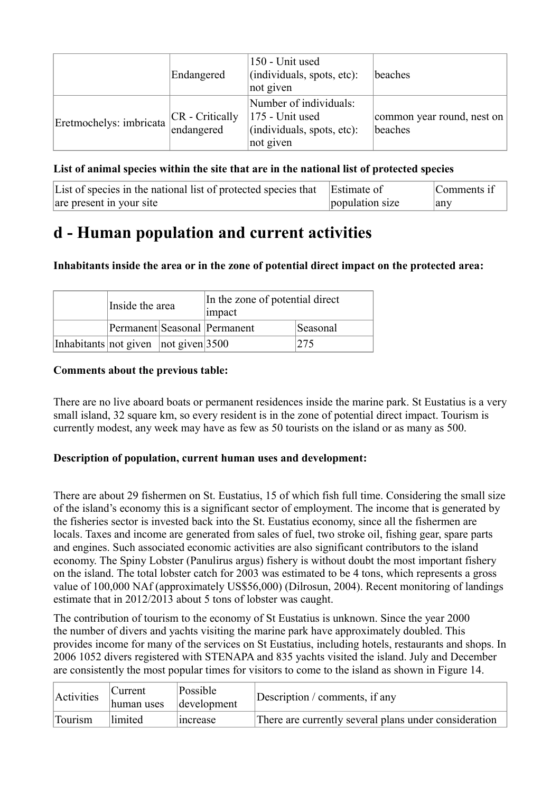|                         | Endangered                      | 150 - Unit used<br>(individuals, spots, etc):<br>not given                           | beaches                               |
|-------------------------|---------------------------------|--------------------------------------------------------------------------------------|---------------------------------------|
| Eretmochelys: imbricata | $CR$ - Critically<br>endangered | Number of individuals:<br>175 - Unit used<br>(individuals, spots, etc):<br>not given | common year round, nest on<br>beaches |

# **List of animal species within the site that are in the national list of protected species**

| List of species in the national list of protected species that Estimate of |                 | Comments if |
|----------------------------------------------------------------------------|-----------------|-------------|
| are present in your site                                                   | population size | any         |

# **d - Human population and current activities**

# **Inhabitants inside the area or in the zone of potential direct impact on the protected area:**

|                                           | Inside the area |  | In the zone of potential direct<br>impact |          |  |
|-------------------------------------------|-----------------|--|-------------------------------------------|----------|--|
|                                           |                 |  | Permanent Seasonal Permanent              | Seasonal |  |
| Inhabitants not given $ not\> given 3500$ |                 |  |                                           | 275      |  |

### **Comments about the previous table:**

There are no live aboard boats or permanent residences inside the marine park. St Eustatius is a very small island, 32 square km, so every resident is in the zone of potential direct impact. Tourism is currently modest, any week may have as few as 50 tourists on the island or as many as 500.

### **Description of population, current human uses and development:**

There are about 29 fishermen on St. Eustatius, 15 of which fish full time. Considering the small size of the island's economy this is a significant sector of employment. The income that is generated by the fisheries sector is invested back into the St. Eustatius economy, since all the fishermen are locals. Taxes and income are generated from sales of fuel, two stroke oil, fishing gear, spare parts and engines. Such associated economic activities are also significant contributors to the island economy. The Spiny Lobster (Panulirus argus) fishery is without doubt the most important fishery on the island. The total lobster catch for 2003 was estimated to be 4 tons, which represents a gross value of 100,000 NAf (approximately US\$56,000) (Dilrosun, 2004). Recent monitoring of landings estimate that in 2012/2013 about 5 tons of lobster was caught.

The contribution of tourism to the economy of St Eustatius is unknown. Since the year 2000 the number of divers and yachts visiting the marine park have approximately doubled. This provides income for many of the services on St Eustatius, including hotels, restaurants and shops. In 2006 1052 divers registered with STENAPA and 835 yachts visited the island. July and December are consistently the most popular times for visitors to come to the island as shown in Figure 14.

| Activities | Current<br>human uses | Possible<br>development | Description / comments, if any                        |
|------------|-----------------------|-------------------------|-------------------------------------------------------|
| Tourism    | limited               | merease                 | There are currently several plans under consideration |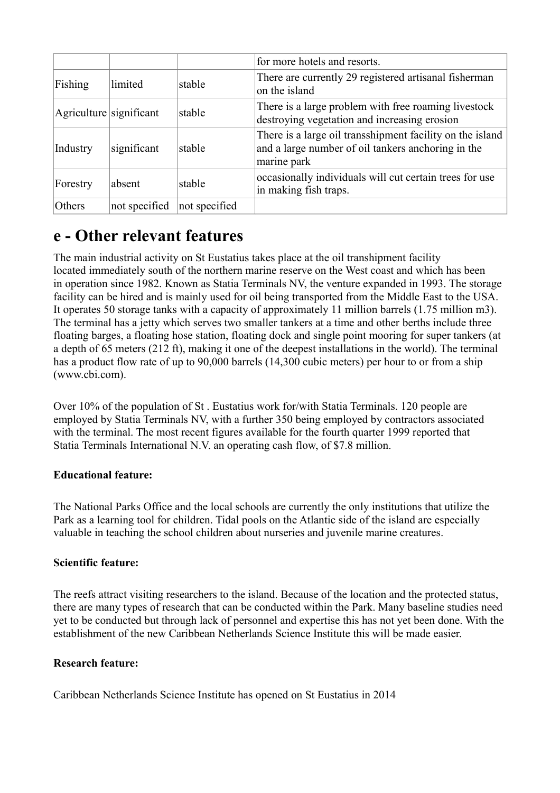|                         |               |               | for more hotels and resorts.                                                                                                   |
|-------------------------|---------------|---------------|--------------------------------------------------------------------------------------------------------------------------------|
| Fishing                 | limited       | stable        | There are currently 29 registered artisanal fisherman<br>on the island                                                         |
| Agriculture significant |               | stable        | There is a large problem with free roaming livestock<br>destroying vegetation and increasing erosion                           |
| Industry                | significant   | stable        | There is a large oil transshipment facility on the island<br>and a large number of oil tankers anchoring in the<br>marine park |
| Forestry                | absent        | stable        | occasionally individuals will cut certain trees for use<br>in making fish traps.                                               |
| Others                  | not specified | not specified |                                                                                                                                |

# **e - Other relevant features**

The main industrial activity on St Eustatius takes place at the oil transhipment facility located immediately south of the northern marine reserve on the West coast and which has been in operation since 1982. Known as Statia Terminals NV, the venture expanded in 1993. The storage facility can be hired and is mainly used for oil being transported from the Middle East to the USA. It operates 50 storage tanks with a capacity of approximately 11 million barrels (1.75 million m3). The terminal has a jetty which serves two smaller tankers at a time and other berths include three floating barges, a floating hose station, floating dock and single point mooring for super tankers (at a depth of 65 meters (212 ft), making it one of the deepest installations in the world). The terminal has a product flow rate of up to 90,000 barrels (14,300 cubic meters) per hour to or from a ship (www.cbi.com).

Over 10% of the population of St . Eustatius work for/with Statia Terminals. 120 people are employed by Statia Terminals NV, with a further 350 being employed by contractors associated with the terminal. The most recent figures available for the fourth quarter 1999 reported that Statia Terminals International N.V. an operating cash flow, of \$7.8 million.

# **Educational feature:**

The National Parks Office and the local schools are currently the only institutions that utilize the Park as a learning tool for children. Tidal pools on the Atlantic side of the island are especially valuable in teaching the school children about nurseries and juvenile marine creatures.

# **Scientific feature:**

The reefs attract visiting researchers to the island. Because of the location and the protected status, there are many types of research that can be conducted within the Park. Many baseline studies need yet to be conducted but through lack of personnel and expertise this has not yet been done. With the establishment of the new Caribbean Netherlands Science Institute this will be made easier.

### **Research feature:**

Caribbean Netherlands Science Institute has opened on St Eustatius in 2014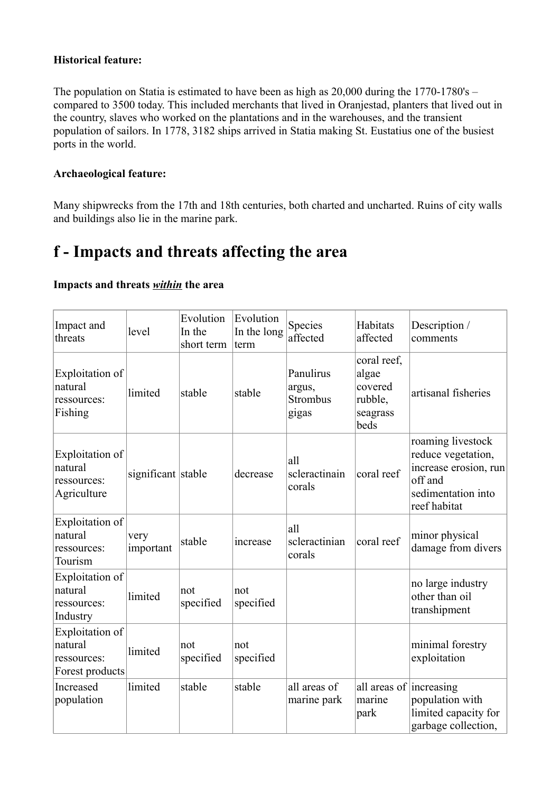### **Historical feature:**

The population on Statia is estimated to have been as high as 20,000 during the 1770-1780's – compared to 3500 today. This included merchants that lived in Oranjestad, planters that lived out in the country, slaves who worked on the plantations and in the warehouses, and the transient population of sailors. In 1778, 3182 ships arrived in Statia making St. Eustatius one of the busiest ports in the world.

### **Archaeological feature:**

Many shipwrecks from the 17th and 18th centuries, both charted and uncharted. Ruins of city walls and buildings also lie in the marine park.

# **f - Impacts and threats affecting the area**

### **Impacts and threats** *within* **the area**

| Impact and<br>threats                                        | level              | Evolution<br>In the<br>short term | Evolution<br>In the long<br>term | Species<br>affected                      | Habitats<br>affected                                           | Description /<br>comments                                                                                         |
|--------------------------------------------------------------|--------------------|-----------------------------------|----------------------------------|------------------------------------------|----------------------------------------------------------------|-------------------------------------------------------------------------------------------------------------------|
| Exploitation of<br>natural<br>ressources:<br>Fishing         | limited            | stable                            | stable                           | Panulirus<br>argus,<br>Strombus<br>gigas | coral reef,<br>algae<br>covered<br>rubble,<br>seagrass<br>beds | artisanal fisheries                                                                                               |
| Exploitation of<br>natural<br>ressources:<br>Agriculture     | significant stable |                                   | decrease                         | all<br>scleractinain<br>corals           | coral reef                                                     | roaming livestock<br>reduce vegetation,<br>increase erosion, run<br>off and<br>sedimentation into<br>reef habitat |
| Exploitation of<br>natural<br>ressources:<br>Tourism         | very<br>important  | stable                            | increase                         | all<br>scleractinian<br>corals           | coral reef                                                     | minor physical<br>damage from divers                                                                              |
| Exploitation of<br>natural<br>ressources:<br>Industry        | limited            | not<br>specified                  | not<br>specified                 |                                          |                                                                | no large industry<br>other than oil<br>transhipment                                                               |
| Exploitation of<br>natural<br>ressources:<br>Forest products | limited            | not<br>specified                  | not<br>specified                 |                                          |                                                                | minimal forestry<br>exploitation                                                                                  |
| Increased<br>population                                      | limited            | stable                            | stable                           | all areas of<br>marine park              | all areas of increasing<br>marine<br>park                      | population with<br>limited capacity for<br>garbage collection,                                                    |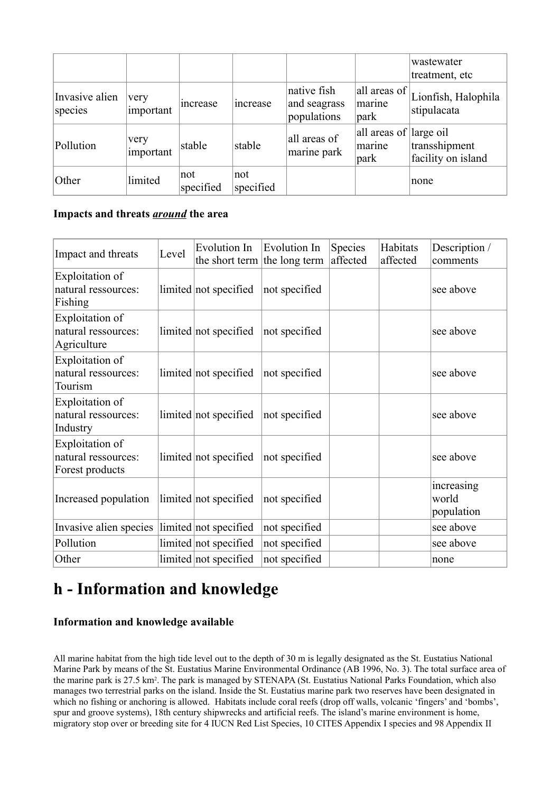|                           |                   |                  |                  |                                            |                                          | wastewater<br>treatment, etc        |
|---------------------------|-------------------|------------------|------------------|--------------------------------------------|------------------------------------------|-------------------------------------|
| Invasive alien<br>species | very<br>important | increase         | increase         | native fish<br>and seagrass<br>populations | all areas of<br>marine<br>park           | Lionfish, Halophila<br>stipulacata  |
| Pollution                 | very<br>important | stable           | stable           | all areas of<br>marine park                | all areas of large oil<br>marine<br>park | transshipment<br>facility on island |
| Other                     | limited           | not<br>specified | not<br>specified |                                            |                                          | none                                |

### **Impacts and threats** *around* **the area**

| Impact and threats                                        | Level | <b>Evolution In</b><br>the short term the long term | Evolution In  | <b>Species</b><br>affected | Habitats<br>affected | Description /<br>comments         |
|-----------------------------------------------------------|-------|-----------------------------------------------------|---------------|----------------------------|----------------------|-----------------------------------|
| Exploitation of<br>natural ressources:<br>Fishing         |       | limited not specified                               | not specified |                            |                      | see above                         |
| Exploitation of<br>natural ressources:<br>Agriculture     |       | limited not specified                               | not specified |                            |                      | see above                         |
| Exploitation of<br>natural ressources:<br>Tourism         |       | limited not specified                               | not specified |                            |                      | see above                         |
| Exploitation of<br>natural ressources:<br>Industry        |       | limited not specified                               | not specified |                            |                      | see above                         |
| Exploitation of<br>natural ressources:<br>Forest products |       | limited not specified                               | not specified |                            |                      | see above                         |
| Increased population                                      |       | limited not specified                               | not specified |                            |                      | increasing<br>world<br>population |
| Invasive alien species                                    |       | limited not specified                               | not specified |                            |                      | see above                         |
| Pollution                                                 |       | limited not specified                               | not specified |                            |                      | see above                         |
| Other                                                     |       | limited not specified                               | not specified |                            |                      | none                              |

# **h - Information and knowledge**

# **Information and knowledge available**

All marine habitat from the high tide level out to the depth of 30 m is legally designated as the St. Eustatius National Marine Park by means of the St. Eustatius Marine Environmental Ordinance (AB 1996, No. 3). The total surface area of the marine park is 27.5 km<sup>2</sup>. The park is managed by STENAPA (St. Eustatius National Parks Foundation, which also manages two terrestrial parks on the island. Inside the St. Eustatius marine park two reserves have been designated in which no fishing or anchoring is allowed. Habitats include coral reefs (drop off walls, volcanic 'fingers' and 'bombs', spur and groove systems), 18th century shipwrecks and artificial reefs. The island's marine environment is home, migratory stop over or breeding site for 4 IUCN Red List Species, 10 CITES Appendix I species and 98 Appendix II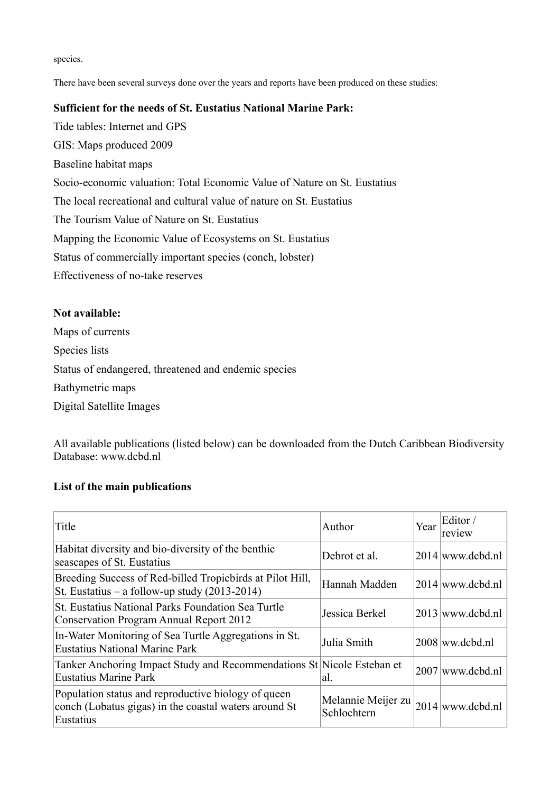species.

There have been several surveys done over the years and reports have been produced on these studies:

## **Sufficient for the needs of St. Eustatius National Marine Park:**

Tide tables: Internet and GPS GIS: Maps produced 2009 Baseline habitat maps Socio-economic valuation: Total Economic Value of Nature on St. Eustatius The local recreational and cultural value of nature on St. Eustatius The Tourism Value of Nature on St. Eustatius Mapping the Economic Value of Ecosystems on St. Eustatius Status of commercially important species (conch, lobster) Effectiveness of no-take reserves

# **Not available:**

Maps of currents Species lists Status of endangered, threatened and endemic species Bathymetric maps Digital Satellite Images

All available publications (listed below) can be downloaded from the Dutch Caribbean Biodiversity Database: www.dcbd.nl

### **List of the main publications**

| Title                                                                                                                     | Author                            | Year | Editor /<br>review |
|---------------------------------------------------------------------------------------------------------------------------|-----------------------------------|------|--------------------|
| Habitat diversity and bio-diversity of the benthic<br>seascapes of St. Eustatius                                          | Debrot et al.                     |      | $2014$ www.dcbd.nl |
| Breeding Success of Red-billed Tropicbirds at Pilot Hill,<br>St. Eustatius – a follow-up study $(2013-2014)$              | Hannah Madden                     |      | $2014$ www.dcbd.nl |
| St. Eustatius National Parks Foundation Sea Turtle<br>Conservation Program Annual Report 2012                             | Jessica Berkel                    |      | $2013$ www.dcbd.nl |
| In-Water Monitoring of Sea Turtle Aggregations in St.<br><b>Eustatius National Marine Park</b>                            | Julia Smith                       |      | $2008$ ww.dcbd.nl  |
| Tanker Anchoring Impact Study and Recommendations St Nicole Esteban et<br>Eustatius Marine Park                           | al.                               |      | $2007$ www.dcbd.nl |
| Population status and reproductive biology of queen<br>conch (Lobatus gigas) in the coastal waters around St<br>Eustatius | Melannie Meijer zu<br>Schlochtern |      | $2014$ www.dcbd.nl |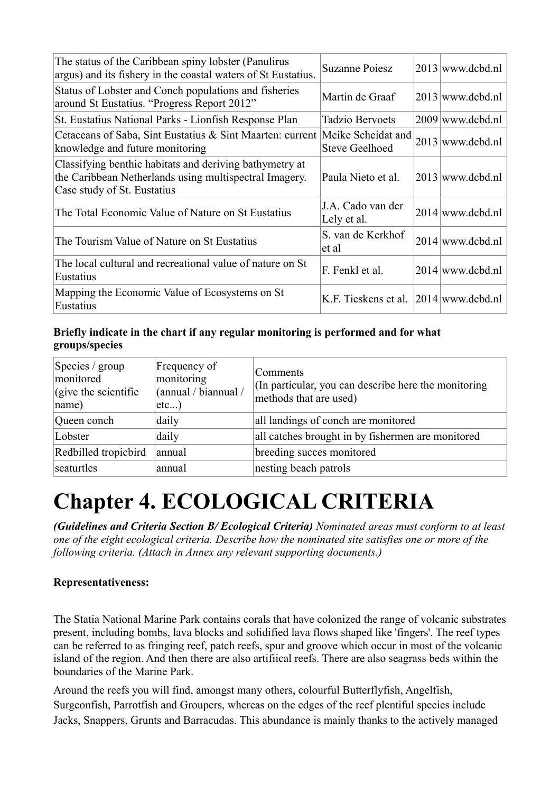| The status of the Caribbean spiny lobster (Panulirus<br>argus) and its fishery in the coastal waters of St Eustatius.                            | <b>Suzanne Poiesz</b>                       | $2013$ www.dcbd.nl |
|--------------------------------------------------------------------------------------------------------------------------------------------------|---------------------------------------------|--------------------|
| Status of Lobster and Conch populations and fisheries<br>around St Eustatius. "Progress Report 2012"                                             | Martin de Graaf                             | $2013$ www.dcbd.nl |
| St. Eustatius National Parks - Lionfish Response Plan                                                                                            | Tadzio Bervoets                             | $2009$ www.dcbd.nl |
| Cetaceans of Saba, Sint Eustatius & Sint Maarten: current<br>knowledge and future monitoring                                                     | Meike Scheidat and<br><b>Steve Geelhoed</b> | 2013 www.dcbd.nl   |
| Classifying benthic habitats and deriving bathymetry at<br>the Caribbean Netherlands using multispectral Imagery.<br>Case study of St. Eustatius | Paula Nieto et al.                          | $2013$ www.dcbd.nl |
| The Total Economic Value of Nature on St Eustatius                                                                                               | J.A. Cado van der<br>Lely et al.            | $2014$ www.dcbd.nl |
| The Tourism Value of Nature on St Eustatius                                                                                                      | S. van de Kerkhof<br>et al                  | $2014$ www.dcbd.nl |
| The local cultural and recreational value of nature on St<br>Eustatius                                                                           | F. Fenkl et al.                             | $2014$ www.dcbd.nl |
| Mapping the Economic Value of Ecosystems on St<br>Eustatius                                                                                      | K.F. Tieskens et al. 2014 www.dcbd.nl       |                    |

# **Briefly indicate in the chart if any regular monitoring is performed and for what groups/species**

| Species / group<br>monitored<br>$\int$ (give the scientific<br> name) | Frequency of<br>monitoring<br>(annual / biannual /<br>etc) | Comments<br>(In particular, you can describe here the monitoring<br>methods that are used) |
|-----------------------------------------------------------------------|------------------------------------------------------------|--------------------------------------------------------------------------------------------|
| Queen conch                                                           | daily                                                      | all landings of conch are monitored                                                        |
| Lobster                                                               | daily                                                      | all catches brought in by fishermen are monitored                                          |
| Redbilled tropicbird                                                  | annual                                                     | breeding succes monitored                                                                  |
| seaturtles                                                            | annual                                                     | nesting beach patrols                                                                      |

# **Chapter 4. ECOLOGICAL CRITERIA**

*(Guidelines and Criteria Section B/ Ecological Criteria) Nominated areas must conform to at least one of the eight ecological criteria. Describe how the nominated site satisfies one or more of the following criteria. (Attach in Annex any relevant supporting documents.)*

# **Representativeness:**

The Statia National Marine Park contains corals that have colonized the range of volcanic substrates present, including bombs, lava blocks and solidified lava flows shaped like 'fingers'. The reef types can be referred to as fringing reef, patch reefs, spur and groove which occur in most of the volcanic island of the region. And then there are also artifiical reefs. There are also seagrass beds within the boundaries of the Marine Park.

Around the reefs you will find, amongst many others, colourful Butterflyfish, Angelfish, Surgeonfish, Parrotfish and Groupers, whereas on the edges of the reef plentiful species include Jacks, Snappers, Grunts and Barracudas. This abundance is mainly thanks to the actively managed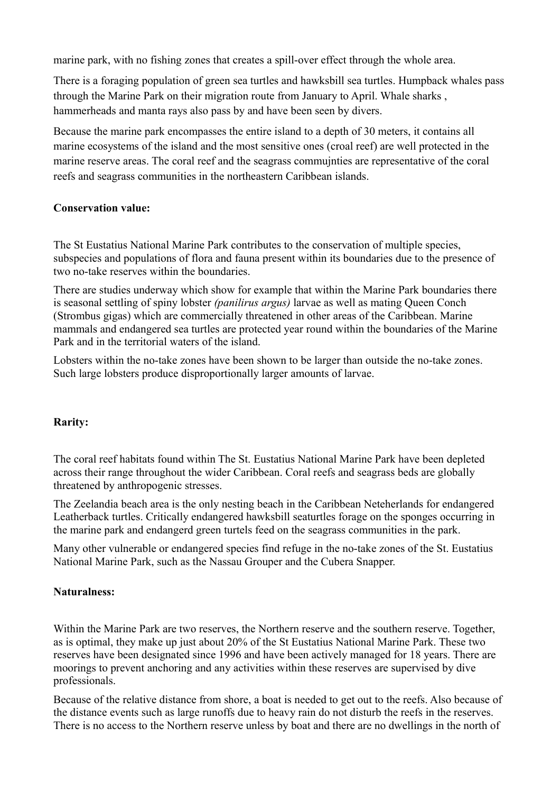marine park, with no fishing zones that creates a spill-over effect through the whole area.

There is a foraging population of green sea turtles and hawksbill sea turtles. Humpback whales pass through the Marine Park on their migration route from January to April. Whale sharks , hammerheads and manta rays also pass by and have been seen by divers.

Because the marine park encompasses the entire island to a depth of 30 meters, it contains all marine ecosystems of the island and the most sensitive ones (croal reef) are well protected in the marine reserve areas. The coral reef and the seagrass commujnties are representative of the coral reefs and seagrass communities in the northeastern Caribbean islands.

### **Conservation value:**

The St Eustatius National Marine Park contributes to the conservation of multiple species, subspecies and populations of flora and fauna present within its boundaries due to the presence of two no-take reserves within the boundaries.

There are studies underway which show for example that within the Marine Park boundaries there is seasonal settling of spiny lobster *(panilirus argus)* larvae as well as mating Queen Conch (Strombus gigas) which are commercially threatened in other areas of the Caribbean. Marine mammals and endangered sea turtles are protected year round within the boundaries of the Marine Park and in the territorial waters of the island.

Lobsters within the no-take zones have been shown to be larger than outside the no-take zones. Such large lobsters produce disproportionally larger amounts of larvae.

### **Rarity:**

The coral reef habitats found within The St. Eustatius National Marine Park have been depleted across their range throughout the wider Caribbean. Coral reefs and seagrass beds are globally threatened by anthropogenic stresses.

The Zeelandia beach area is the only nesting beach in the Caribbean Neteherlands for endangered Leatherback turtles. Critically endangered hawksbill seaturtles forage on the sponges occurring in the marine park and endangerd green turtels feed on the seagrass communities in the park.

Many other vulnerable or endangered species find refuge in the no-take zones of the St. Eustatius National Marine Park, such as the Nassau Grouper and the Cubera Snapper.

### **Naturalness:**

Within the Marine Park are two reserves, the Northern reserve and the southern reserve. Together, as is optimal, they make up just about 20% of the St Eustatius National Marine Park. These two reserves have been designated since 1996 and have been actively managed for 18 years. There are moorings to prevent anchoring and any activities within these reserves are supervised by dive professionals.

Because of the relative distance from shore, a boat is needed to get out to the reefs. Also because of the distance events such as large runoffs due to heavy rain do not disturb the reefs in the reserves. There is no access to the Northern reserve unless by boat and there are no dwellings in the north of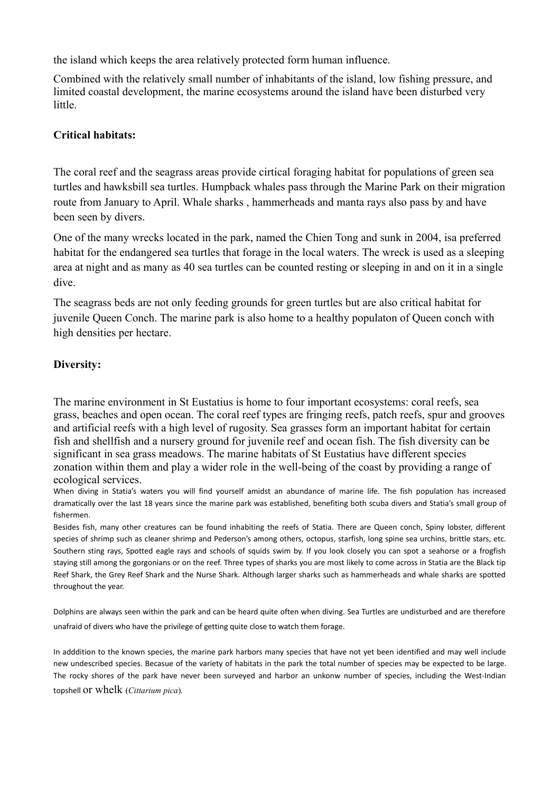the island which keeps the area relatively protected form human influence.

Combined with the relatively small number of inhabitants of the island, low fishing pressure, and limited coastal development, the marine ecosystems around the island have been disturbed very little.

### **Critical habitats:**

The coral reef and the seagrass areas provide cirtical foraging habitat for populations of green sea turtles and hawksbill sea turtles. Humpback whales pass through the Marine Park on their migration route from January to April. Whale sharks , hammerheads and manta rays also pass by and have been seen by divers.

One of the many wrecks located in the park, named the Chien Tong and sunk in 2004, isa preferred habitat for the endangered sea turtles that forage in the local waters. The wreck is used as a sleeping area at night and as many as 40 sea turtles can be counted resting or sleeping in and on it in a single dive.

The seagrass beds are not only feeding grounds for green turtles but are also critical habitat for juvenile Queen Conch. The marine park is also home to a healthy populaton of Queen conch with high densities per hectare.

### **Diversity:**

The marine environment in St Eustatius is home to four important ecosystems: coral reefs, sea grass, beaches and open ocean. The coral reef types are fringing reefs, patch reefs, spur and grooves and artificial reefs with a high level of rugosity. Sea grasses form an important habitat for certain fish and shellfish and a nursery ground for juvenile reef and ocean fish. The fish diversity can be significant in sea grass meadows. The marine habitats of St Eustatius have different species zonation within them and play a wider role in the well-being of the coast by providing a range of ecological services.

When diving in Statia's waters you will find yourself amidst an abundance of marine life. The fish population has increased dramatically over the last 18 years since the marine park was established, benefiting both scuba divers and Statia's small group of fishermen.

Besides fish, many other creatures can be found inhabiting the reefs of Statia. There are Queen conch, Spiny lobster, different species of shrimp such as cleaner shrimp and Pederson's among others, octopus, starfish, long spine sea urchins, brittle stars, etc. Southern sting rays, Spotted eagle rays and schools of squids swim by. If you look closely you can spot a seahorse or a frogfish staying still among the gorgonians or on the reef. Three types of sharks you are most likely to come across in Statia are the Black tip Reef Shark, the Grey Reef Shark and the Nurse Shark. Although larger sharks such as hammerheads and whale sharks are spotted throughout the year.

Dolphins are always seen within the park and can be heard quite often when diving. Sea Turtles are undisturbed and are therefore unafraid of divers who have the privilege of getting quite close to watch them forage.

In adddition to the known species, the marine park harbors many species that have not yet been identified and may well include new undescribed species. Becasue of the variety of habitats in the park the total number of species may be expected to be large. The rocky shores of the park have never been surveyed and harbor an unkonw number of species, including the West-Indian topshell or whelk (*Cittarium pica*).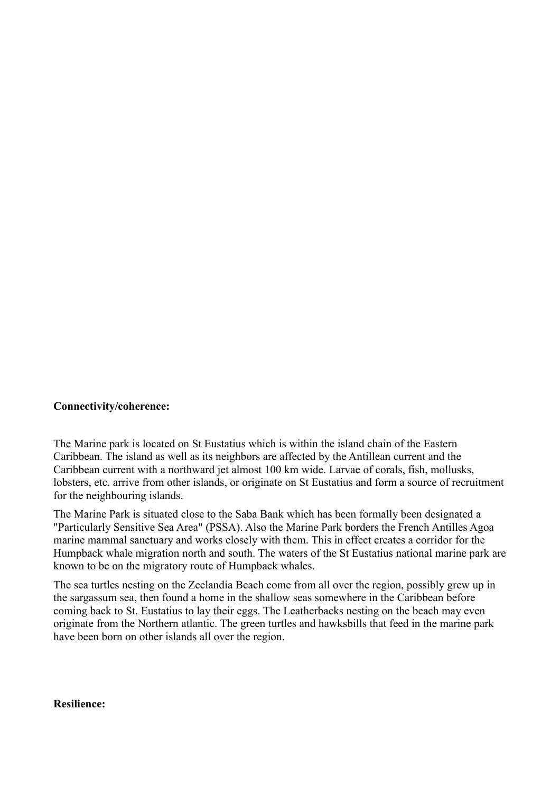#### **Connectivity/coherence:**

The Marine park is located on St Eustatius which is within the island chain of the Eastern Caribbean. The island as well as its neighbors are affected by the Antillean current and the Caribbean current with a northward jet almost 100 km wide. Larvae of corals, fish, mollusks, lobsters, etc. arrive from other islands, or originate on St Eustatius and form a source of recruitment for the neighbouring islands.

The Marine Park is situated close to the Saba Bank which has been formally been designated a "Particularly Sensitive Sea Area" (PSSA). Also the Marine Park borders the French Antilles Agoa marine mammal sanctuary and works closely with them. This in effect creates a corridor for the Humpback whale migration north and south. The waters of the St Eustatius national marine park are known to be on the migratory route of Humpback whales.

The sea turtles nesting on the Zeelandia Beach come from all over the region, possibly grew up in the sargassum sea, then found a home in the shallow seas somewhere in the Caribbean before coming back to St. Eustatius to lay their eggs. The Leatherbacks nesting on the beach may even originate from the Northern atlantic. The green turtles and hawksbills that feed in the marine park have been born on other islands all over the region.

#### **Resilience:**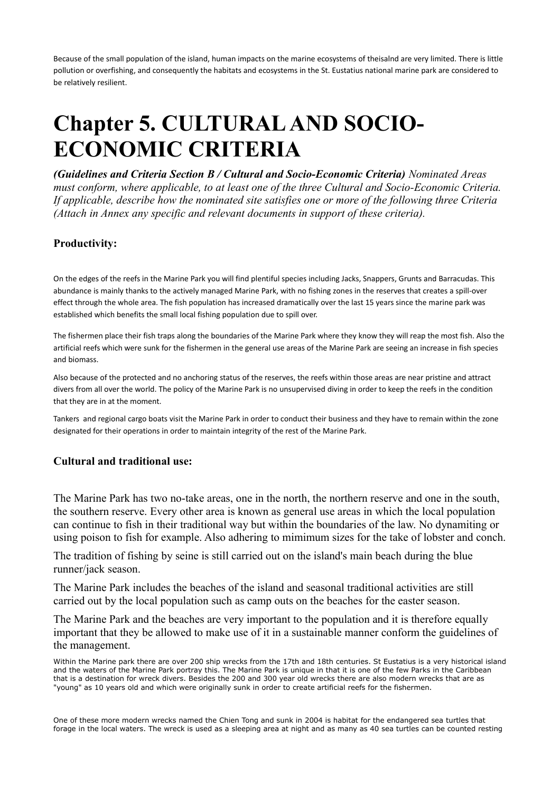Because of the small population of the island, human impacts on the marine ecosystems of theisalnd are very limited. There is little pollution or overfishing, and consequently the habitats and ecosystems in the St. Eustatius national marine park are considered to be relatively resilient.

# **Chapter 5. CULTURAL AND SOCIO-ECONOMIC CRITERIA**

*(Guidelines and Criteria Section B / Cultural and Socio-Economic Criteria) Nominated Areas must conform, where applicable, to at least one of the three Cultural and Socio-Economic Criteria. If applicable, describe how the nominated site satisfies one or more of the following three Criteria (Attach in Annex any specific and relevant documents in support of these criteria).*

### **Productivity:**

On the edges of the reefs in the Marine Park you will find plentiful species including Jacks, Snappers, Grunts and Barracudas. This abundance is mainly thanks to the actively managed Marine Park, with no fishing zones in the reserves that creates a spill-over effect through the whole area. The fish population has increased dramatically over the last 15 years since the marine park was established which benefits the small local fishing population due to spill over.

The fishermen place their fish traps along the boundaries of the Marine Park where they know they will reap the most fish. Also the artificial reefs which were sunk for the fishermen in the general use areas of the Marine Park are seeing an increase in fish species and biomass.

Also because of the protected and no anchoring status of the reserves, the reefs within those areas are near pristine and attract divers from all over the world. The policy of the Marine Park is no unsupervised diving in order to keep the reefs in the condition that they are in at the moment.

Tankers and regional cargo boats visit the Marine Park in order to conduct their business and they have to remain within the zone designated for their operations in order to maintain integrity of the rest of the Marine Park.

### **Cultural and traditional use:**

The Marine Park has two no-take areas, one in the north, the northern reserve and one in the south, the southern reserve. Every other area is known as general use areas in which the local population can continue to fish in their traditional way but within the boundaries of the law. No dynamiting or using poison to fish for example. Also adhering to mimimum sizes for the take of lobster and conch.

The tradition of fishing by seine is still carried out on the island's main beach during the blue runner/jack season.

The Marine Park includes the beaches of the island and seasonal traditional activities are still carried out by the local population such as camp outs on the beaches for the easter season.

The Marine Park and the beaches are very important to the population and it is therefore equally important that they be allowed to make use of it in a sustainable manner conform the guidelines of the management.

One of these more modern wrecks named the Chien Tong and sunk in 2004 is habitat for the endangered sea turtles that forage in the local waters. The wreck is used as a sleeping area at night and as many as 40 sea turtles can be counted resting

Within the Marine park there are over 200 ship wrecks from the 17th and 18th centuries. St Eustatius is a very historical island and the waters of the Marine Park portray this. The Marine Park is unique in that it is one of the few Parks in the Caribbean that is a destination for wreck divers. Besides the 200 and 300 year old wrecks there are also modern wrecks that are as "young" as 10 years old and which were originally sunk in order to create artificial reefs for the fishermen.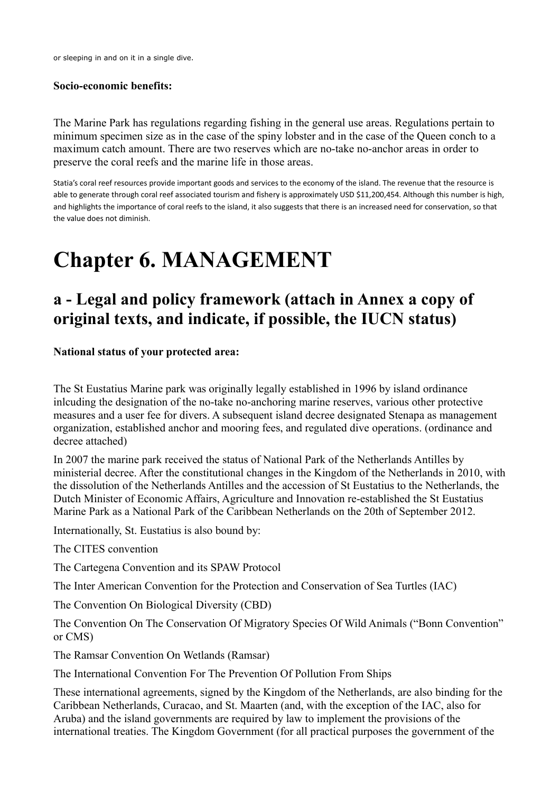or sleeping in and on it in a single dive.

### **Socio-economic benefits:**

The Marine Park has regulations regarding fishing in the general use areas. Regulations pertain to minimum specimen size as in the case of the spiny lobster and in the case of the Queen conch to a maximum catch amount. There are two reserves which are no-take no-anchor areas in order to preserve the coral reefs and the marine life in those areas.

Statia's coral reef resources provide important goods and services to the economy of the island. The revenue that the resource is able to generate through coral reef associated tourism and fishery is approximately USD \$11,200,454. Although this number is high, and highlights the importance of coral reefs to the island, it also suggests that there is an increased need for conservation, so that the value does not diminish.

# **Chapter 6. MANAGEMENT**

# **a - Legal and policy framework (attach in Annex a copy of original texts, and indicate, if possible, the IUCN status)**

**National status of your protected area:**

The St Eustatius Marine park was originally legally established in 1996 by island ordinance inlcuding the designation of the no-take no-anchoring marine reserves, various other protective measures and a user fee for divers. A subsequent island decree designated Stenapa as management organization, established anchor and mooring fees, and regulated dive operations. (ordinance and decree attached)

In 2007 the marine park received the status of National Park of the Netherlands Antilles by ministerial decree. After the constitutional changes in the Kingdom of the Netherlands in 2010, with the dissolution of the Netherlands Antilles and the accession of St Eustatius to the Netherlands, the Dutch Minister of Economic Affairs, Agriculture and Innovation re-established the St Eustatius Marine Park as a National Park of the Caribbean Netherlands on the 20th of September 2012.

Internationally, St. Eustatius is also bound by:

The CITES convention

The Cartegena Convention and its SPAW Protocol

The Inter American Convention for the Protection and Conservation of Sea Turtles (IAC)

The Convention On Biological Diversity (CBD)

The Convention On The Conservation Of Migratory Species Of Wild Animals ("Bonn Convention" or CMS)

The Ramsar Convention On Wetlands (Ramsar)

The International Convention For The Prevention Of Pollution From Ships

These international agreements, signed by the Kingdom of the Netherlands, are also binding for the Caribbean Netherlands, Curacao, and St. Maarten (and, with the exception of the IAC, also for Aruba) and the island governments are required by law to implement the provisions of the international treaties. The Kingdom Government (for all practical purposes the government of the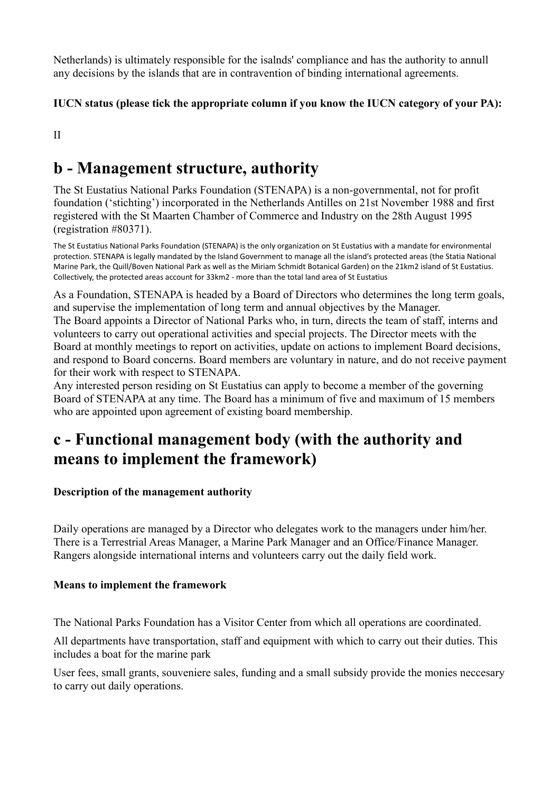Netherlands) is ultimately responsible for the isalnds' compliance and has the authority to annull any decisions by the islands that are in contravention of binding international agreements.

# **IUCN status (please tick the appropriate column if you know the IUCN category of your PA):**

II

# **b - Management structure, authority**

The St Eustatius National Parks Foundation (STENAPA) is a non-governmental, not for profit foundation ('stichting') incorporated in the Netherlands Antilles on 21st November 1988 and first registered with the St Maarten Chamber of Commerce and Industry on the 28th August 1995 (registration #80371).

The St Eustatius National Parks Foundation (STENAPA) is the only organization on St Eustatius with a mandate for environmental protection. STENAPA is legally mandated by the Island Government to manage all the island's protected areas (the Statia National Marine Park, the Quill/Boven National Park as well as the Miriam Schmidt Botanical Garden) on the 21km2 island of St Eustatius. Collectively, the protected areas account for 33km2 - more than the total land area of St Eustatius

As a Foundation, STENAPA is headed by a Board of Directors who determines the long term goals, and supervise the implementation of long term and annual objectives by the Manager. The Board appoints a Director of National Parks who, in turn, directs the team of staff, interns and volunteers to carry out operational activities and special projects. The Director meets with the Board at monthly meetings to report on activities, update on actions to implement Board decisions, and respond to Board concerns. Board members are voluntary in nature, and do not receive payment for their work with respect to STENAPA.

Any interested person residing on St Eustatius can apply to become a member of the governing Board of STENAPA at any time. The Board has a minimum of five and maximum of 15 members who are appointed upon agreement of existing board membership.

# **c - Functional management body (with the authority and means to implement the framework)**

# **Description of the management authority**

Daily operations are managed by a Director who delegates work to the managers under him/her. There is a Terrestrial Areas Manager, a Marine Park Manager and an Office/Finance Manager. Rangers alongside international interns and volunteers carry out the daily field work.

# **Means to implement the framework**

The National Parks Foundation has a Visitor Center from which all operations are coordinated.

All departments have transportation, staff and equipment with which to carry out their duties. This includes a boat for the marine park

User fees, small grants, souveniere sales, funding and a small subsidy provide the monies neccesary to carry out daily operations.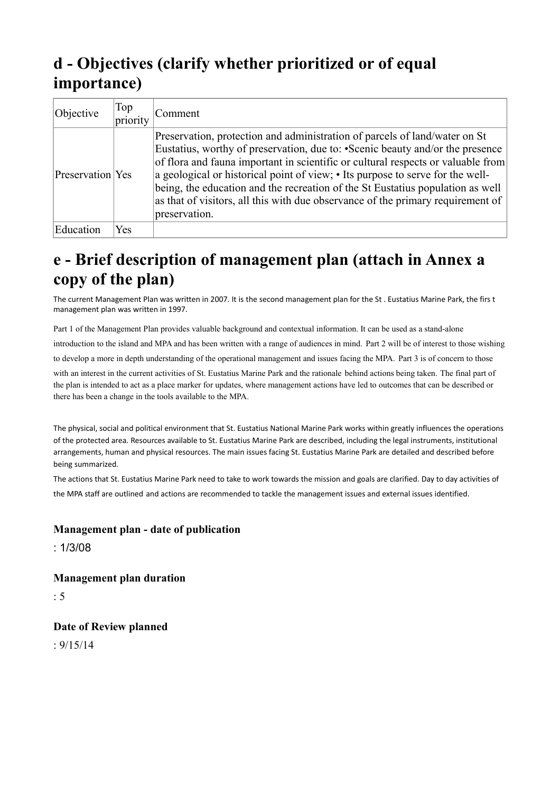# **d - Objectives (clarify whether prioritized or of equal importance)**

| Objective        | Top<br>priority | Comment                                                                                                                                                                                                                                                                                                                                                                                                                                                                                                                  |
|------------------|-----------------|--------------------------------------------------------------------------------------------------------------------------------------------------------------------------------------------------------------------------------------------------------------------------------------------------------------------------------------------------------------------------------------------------------------------------------------------------------------------------------------------------------------------------|
| Preservation Yes |                 | Preservation, protection and administration of parcels of land/water on St<br>Eustatius, worthy of preservation, due to: • Scenic beauty and/or the presence<br>of flora and fauna important in scientific or cultural respects or valuable from<br>a geological or historical point of view; • Its purpose to serve for the well-<br>being, the education and the recreation of the St Eustatius population as well<br>as that of visitors, all this with due observance of the primary requirement of<br>preservation. |
| Education        | Yes             |                                                                                                                                                                                                                                                                                                                                                                                                                                                                                                                          |

# **e - Brief description of management plan (attach in Annex a copy of the plan)**

The current Management Plan was written in 2007. It is the second management plan for the St . Eustatius Marine Park, the firs t management plan was written in 1997.

Part 1 of the Management Plan provides valuable background and contextual information. It can be used as a stand-alone

introduction to the island and MPA and has been written with a range of audiences in mind. Part 2 will be of interest to those wishing

to develop a more in depth understanding of the operational management and issues facing the MPA. Part 3 is of concern to those

with an interest in the current activities of St. Eustatius Marine Park and the rationale behind actions being taken. The final part of the plan is intended to act as a place marker for updates, where management actions have led to outcomes that can be described or there has been a change in the tools available to the MPA.

The physical, social and political environment that St. Eustatius National Marine Park works within greatly influences the operations of the protected area. Resources available to St. Eustatius Marine Park are described, including the legal instruments, institutional arrangements, human and physical resources. The main issues facing St. Eustatius Marine Park are detailed and described before being summarized.

The actions that St. Eustatius Marine Park need to take to work towards the mission and goals are clarified. Day to day activities of the MPA staff are outlined and actions are recommended to tackle the management issues and external issues identified.

### **Management plan - date of publication**

: 1/3/08

**Management plan duration** 

: 5

**Date of Review planned** 

 $.9/15/14$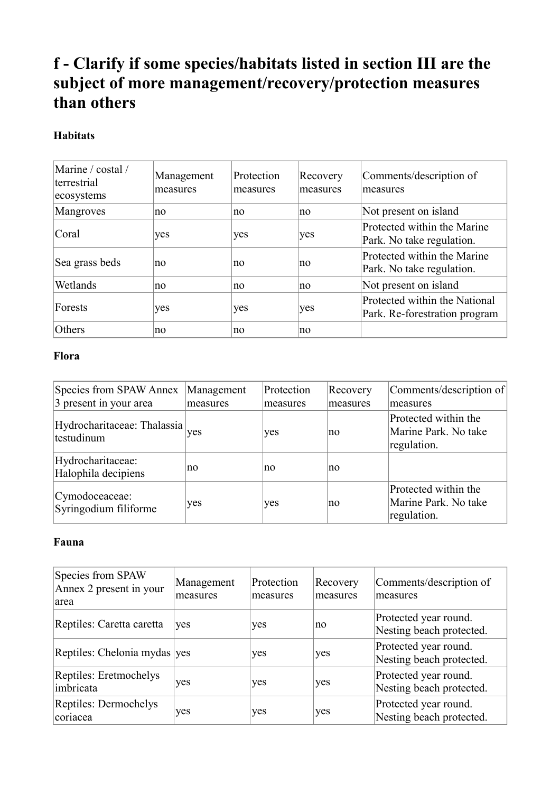# **f - Clarify if some species/habitats listed in section III are the subject of more management/recovery/protection measures than others**

# **Habitats**

| Marine / costal /<br>terrestrial<br>ecosystems | Management<br>measures | Protection<br>measures | Recovery<br>measures | Comments/description of<br>measures                            |
|------------------------------------------------|------------------------|------------------------|----------------------|----------------------------------------------------------------|
| Mangroves                                      | no.                    | no                     | no                   | Not present on island                                          |
| Coral                                          | yes                    | yes                    | yes                  | Protected within the Marine<br>Park. No take regulation.       |
| Sea grass beds                                 | no                     | no                     | no                   | Protected within the Marine<br>Park. No take regulation.       |
| Wetlands                                       | no                     | no                     | no                   | Not present on island                                          |
| Forests                                        | yes                    | yes                    | yes                  | Protected within the National<br>Park. Re-forestration program |
| Others                                         | no                     | no                     | no                   |                                                                |

# **Flora**

| Species from SPAW Annex                                  | Management | Protection | Recovery | Comments/description of                                     |
|----------------------------------------------------------|------------|------------|----------|-------------------------------------------------------------|
| 3 present in your area                                   | measures   | measures   | measures | measures                                                    |
| Hydrocharitaceae: Thalassia <sub>ves</sub><br>testudinum |            | yes        | no       | Protected within the<br>Marine Park. No take<br>regulation. |
| Hydrocharitaceae:<br>Halophila decipiens                 | no         | no         | no       |                                                             |
| Cymodoceaceae:<br>Syringodium filiforme                  | yes        | yes        | no       | Protected within the<br>Marine Park. No take<br>regulation. |

## **Fauna**

| Species from SPAW<br>Annex 2 present in your<br>larea | Management<br>measures | Protection<br>measures | Recovery<br>measures | Comments/description of<br>measures               |
|-------------------------------------------------------|------------------------|------------------------|----------------------|---------------------------------------------------|
| Reptiles: Caretta caretta                             | yes                    | yes                    | no                   | Protected year round.<br>Nesting beach protected. |
| Reptiles: Chelonia mydas ves                          |                        | yes                    | yes                  | Protected year round.<br>Nesting beach protected. |
| Reptiles: Eretmochelys<br>imbricata                   | yes                    | yes                    | yes                  | Protected year round.<br>Nesting beach protected. |
| Reptiles: Dermochelys<br>coriacea                     | yes                    | yes                    | yes                  | Protected year round.<br>Nesting beach protected. |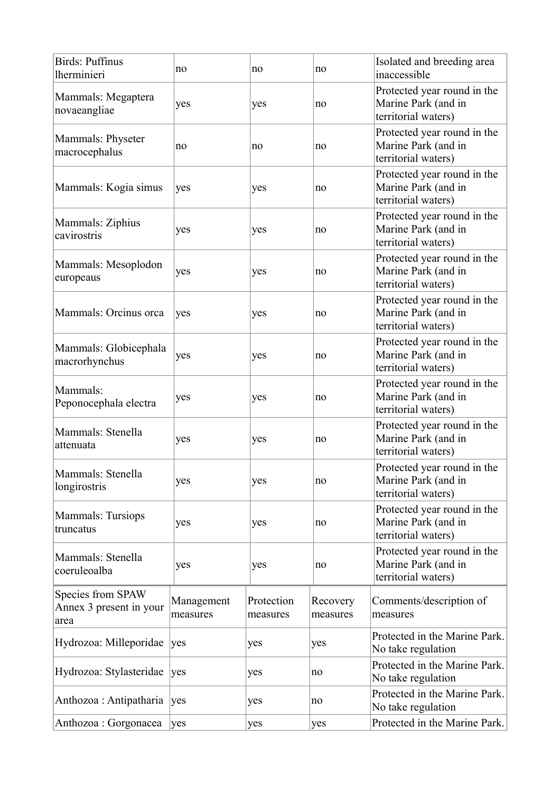| Birds: Puffinus<br><i>lherminieri</i>                | no                     | no                     | no                   | Isolated and breeding area<br>inaccessible                                |
|------------------------------------------------------|------------------------|------------------------|----------------------|---------------------------------------------------------------------------|
| Mammals: Megaptera<br>novaeangliae                   | yes                    | yes                    | no                   | Protected year round in the<br>Marine Park (and in<br>territorial waters) |
| Mammals: Physeter<br>macrocephalus                   | no                     | no                     | no                   | Protected year round in the<br>Marine Park (and in<br>territorial waters) |
| Mammals: Kogia simus                                 | yes                    | yes                    | no                   | Protected year round in the<br>Marine Park (and in<br>territorial waters) |
| Mammals: Ziphius<br>cavirostris                      | yes                    | yes                    | no                   | Protected year round in the<br>Marine Park (and in<br>territorial waters) |
| Mammals: Mesoplodon<br>europeaus                     | yes                    | yes                    | no                   | Protected year round in the<br>Marine Park (and in<br>territorial waters) |
| Mammals: Orcinus orca                                | yes                    | yes                    | no                   | Protected year round in the<br>Marine Park (and in<br>territorial waters) |
| Mammals: Globicephala<br>macrorhynchus               | yes                    | yes                    | no                   | Protected year round in the<br>Marine Park (and in<br>territorial waters) |
| Mammals:<br>Peponocephala electra                    | yes                    | yes                    | no                   | Protected year round in the<br>Marine Park (and in<br>territorial waters) |
| Mammals: Stenella<br>attenuata                       | yes                    | yes                    | no                   | Protected year round in the<br>Marine Park (and in<br>territorial waters) |
| Mammals: Stenella<br>longirostris                    | yes                    | yes                    | no                   | Protected year round in the<br>Marine Park (and in<br>territorial waters) |
| <b>Mammals: Tursiops</b><br>truncatus                | yes                    | yes                    | no                   | Protected year round in the<br>Marine Park (and in<br>territorial waters) |
| Mammals: Stenella<br>coeruleoalba                    | yes                    | yes                    | no                   | Protected year round in the<br>Marine Park (and in<br>territorial waters) |
| Species from SPAW<br>Annex 3 present in your<br>area | Management<br>measures | Protection<br>measures | Recovery<br>measures | Comments/description of<br>measures                                       |
| Hydrozoa: Milleporidae                               | yes                    | yes                    | yes                  | Protected in the Marine Park.<br>No take regulation                       |
| Hydrozoa: Stylasteridae                              | yes                    | yes                    | no                   | Protected in the Marine Park.<br>No take regulation                       |
| Anthozoa : Antipatharia                              | yes                    | yes                    | no                   | Protected in the Marine Park.<br>No take regulation                       |
| Anthozoa : Gorgonacea                                | yes                    | yes                    | yes                  | Protected in the Marine Park.                                             |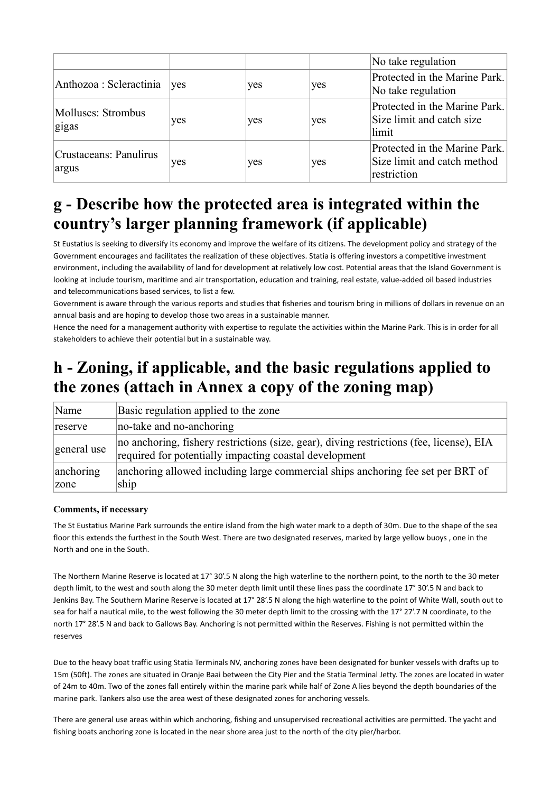|                                 |     |     |     | No take regulation                                                          |
|---------------------------------|-----|-----|-----|-----------------------------------------------------------------------------|
| Anthozoa : Scleractinia ves     |     | yes | yes | Protected in the Marine Park.<br>No take regulation                         |
| Molluscs: Strombus<br>gigas     | yes | yes | yes | Protected in the Marine Park.<br>Size limit and catch size<br>limit         |
| Crustaceans: Panulirus<br>argus | yes | yes | yes | Protected in the Marine Park.<br>Size limit and catch method<br>restriction |

# **g - Describe how the protected area is integrated within the country's larger planning framework (if applicable)**

St Eustatius is seeking to diversify its economy and improve the welfare of its citizens. The development policy and strategy of the Government encourages and facilitates the realization of these objectives. Statia is offering investors a competitive investment environment, including the availability of land for development at relatively low cost. Potential areas that the Island Government is looking at include tourism, maritime and air transportation, education and training, real estate, value-added oil based industries and telecommunications based services, to list a few.

Government is aware through the various reports and studies that fisheries and tourism bring in millions of dollars in revenue on an annual basis and are hoping to develop those two areas in a sustainable manner.

Hence the need for a management authority with expertise to regulate the activities within the Marine Park. This is in order for all stakeholders to achieve their potential but in a sustainable way.

# **h - Zoning, if applicable, and the basic regulations applied to the zones (attach in Annex a copy of the zoning map)**

| Name        | Basic regulation applied to the zone                                                                                                               |
|-------------|----------------------------------------------------------------------------------------------------------------------------------------------------|
| reserve     | no-take and no-anchoring                                                                                                                           |
| general use | no anchoring, fishery restrictions (size, gear), diving restrictions (fee, license), EIA<br>required for potentially impacting coastal development |
| anchoring   | anchoring allowed including large commercial ships anchoring fee set per BRT of                                                                    |
| zone        | ship                                                                                                                                               |

#### **Comments, if necessary**

The St Eustatius Marine Park surrounds the entire island from the high water mark to a depth of 30m. Due to the shape of the sea floor this extends the furthest in the South West. There are two designated reserves, marked by large yellow buoys , one in the North and one in the South.

The Northern Marine Reserve is located at 17° 30'.5 N along the high waterline to the northern point, to the north to the 30 meter depth limit, to the west and south along the 30 meter depth limit until these lines pass the coordinate 17° 30'.5 N and back to Jenkins Bay. The Southern Marine Reserve is located at 17° 28'.5 N along the high waterline to the point of White Wall, south out to sea for half a nautical mile, to the west following the 30 meter depth limit to the crossing with the 17° 27'.7 N coordinate, to the north 17° 28'.5 N and back to Gallows Bay. Anchoring is not permitted within the Reserves. Fishing is not permitted within the reserves

Due to the heavy boat traffic using Statia Terminals NV, anchoring zones have been designated for bunker vessels with drafts up to 15m (50ft). The zones are situated in Oranje Baai between the City Pier and the Statia Terminal Jetty. The zones are located in water of 24m to 40m. Two of the zones fall entirely within the marine park while half of Zone A lies beyond the depth boundaries of the marine park. Tankers also use the area west of these designated zones for anchoring vessels.

There are general use areas within which anchoring, fishing and unsupervised recreational activities are permitted. The yacht and fishing boats anchoring zone is located in the near shore area just to the north of the city pier/harbor.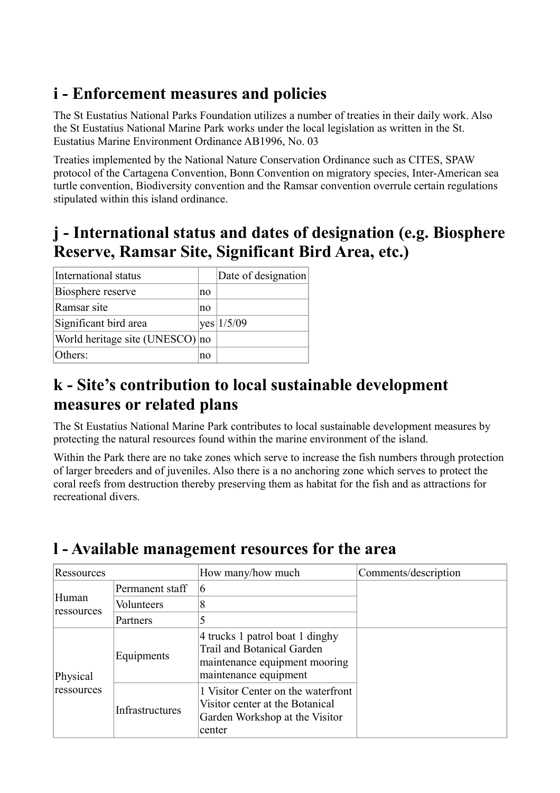# **i - Enforcement measures and policies**

The St Eustatius National Parks Foundation utilizes a number of treaties in their daily work. Also the St Eustatius National Marine Park works under the local legislation as written in the St. Eustatius Marine Environment Ordinance AB1996, No. 03

Treaties implemented by the National Nature Conservation Ordinance such as CITES, SPAW protocol of the Cartagena Convention, Bonn Convention on migratory species, Inter-American sea turtle convention, Biodiversity convention and the Ramsar convention overrule certain regulations stipulated within this island ordinance.

# **j - International status and dates of designation (e.g. Biosphere Reserve, Ramsar Site, Significant Bird Area, etc.)**

| International status            |    | Date of designation |
|---------------------------------|----|---------------------|
| Biosphere reserve               | no |                     |
| Ramsar site                     | no |                     |
| Significant bird area           |    | yes 1/5/09          |
| World heritage site (UNESCO) no |    |                     |
| Others:                         | no |                     |

# **k - Site's contribution to local sustainable development measures or related plans**

The St Eustatius National Marine Park contributes to local sustainable development measures by protecting the natural resources found within the marine environment of the island.

Within the Park there are no take zones which serve to increase the fish numbers through protection of larger breeders and of juveniles. Also there is a no anchoring zone which serves to protect the coral reefs from destruction thereby preserving them as habitat for the fish and as attractions for recreational divers.

| Ressources          |                 | How many/how much                                                                                                              | Comments/description |
|---------------------|-----------------|--------------------------------------------------------------------------------------------------------------------------------|----------------------|
|                     | Permanent staff | 6                                                                                                                              |                      |
| Human<br>ressources | Volunteers      | 8                                                                                                                              |                      |
|                     | Partners        | 5                                                                                                                              |                      |
| Physical            | Equipments      | 4 trucks 1 patrol boat 1 dinghy<br><b>Trail and Botanical Garden</b><br>maintenance equipment mooring<br>maintenance equipment |                      |
| ressources          | Infrastructures | 1 Visitor Center on the waterfront<br>Visitor center at the Botanical<br>Garden Workshop at the Visitor<br>center              |                      |

# **l - Available management resources for the area**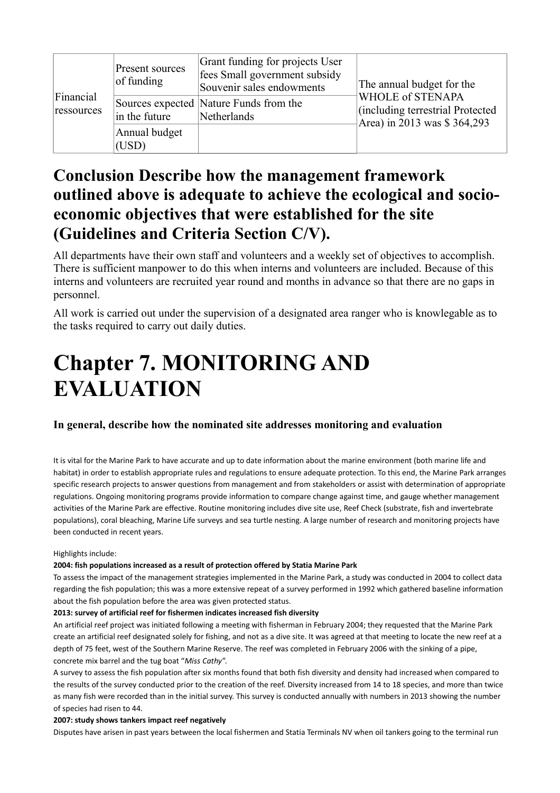|                         | Present sources<br>of funding | Grant funding for projects User<br>fees Small government subsidy<br>Souvenir sales endowments | The annual budget for the                                                           |
|-------------------------|-------------------------------|-----------------------------------------------------------------------------------------------|-------------------------------------------------------------------------------------|
| Financial<br>ressources | in the future                 | Sources expected Nature Funds from the<br>Netherlands                                         | WHOLE of STENAPA<br>(including terrestrial Protected<br>Area) in 2013 was \$364,293 |
|                         | Annual budget<br>(USD)        |                                                                                               |                                                                                     |

# **Conclusion Describe how the management framework outlined above is adequate to achieve the ecological and socioeconomic objectives that were established for the site (Guidelines and Criteria Section C/V).**

All departments have their own staff and volunteers and a weekly set of objectives to accomplish. There is sufficient manpower to do this when interns and volunteers are included. Because of this interns and volunteers are recruited year round and months in advance so that there are no gaps in personnel.

All work is carried out under the supervision of a designated area ranger who is knowlegable as to the tasks required to carry out daily duties.

# **Chapter 7. MONITORING AND EVALUATION**

### **In general, describe how the nominated site addresses monitoring and evaluation**

It is vital for the Marine Park to have accurate and up to date information about the marine environment (both marine life and habitat) in order to establish appropriate rules and regulations to ensure adequate protection. To this end, the Marine Park arranges specific research projects to answer questions from management and from stakeholders or assist with determination of appropriate regulations. Ongoing monitoring programs provide information to compare change against time, and gauge whether management activities of the Marine Park are effective. Routine monitoring includes dive site use, Reef Check (substrate, fish and invertebrate populations), coral bleaching, Marine Life surveys and sea turtle nesting. A large number of research and monitoring projects have been conducted in recent years.

#### Highlights include:

#### **2004: fish populations increased as a result of protection offered by Statia Marine Park**

To assess the impact of the management strategies implemented in the Marine Park, a study was conducted in 2004 to collect data regarding the fish population; this was a more extensive repeat of a survey performed in 1992 which gathered baseline information about the fish population before the area was given protected status.

#### **2013: survey of artificial reef for fishermen indicates increased fish diversity**

An artificial reef project was initiated following a meeting with fisherman in February 2004; they requested that the Marine Park create an artificial reef designated solely for fishing, and not as a dive site. It was agreed at that meeting to locate the new reef at a depth of 75 feet, west of the Southern Marine Reserve. The reef was completed in February 2006 with the sinking of a pipe, concrete mix barrel and the tug boat "*Miss Cathy*".

A survey to assess the fish population after six months found that both fish diversity and density had increased when compared to the results of the survey conducted prior to the creation of the reef. Diversity increased from 14 to 18 species, and more than twice as many fish were recorded than in the initial survey. This survey is conducted annually with numbers in 2013 showing the number of species had risen to 44.

#### **2007: study shows tankers impact reef negatively**

Disputes have arisen in past years between the local fishermen and Statia Terminals NV when oil tankers going to the terminal run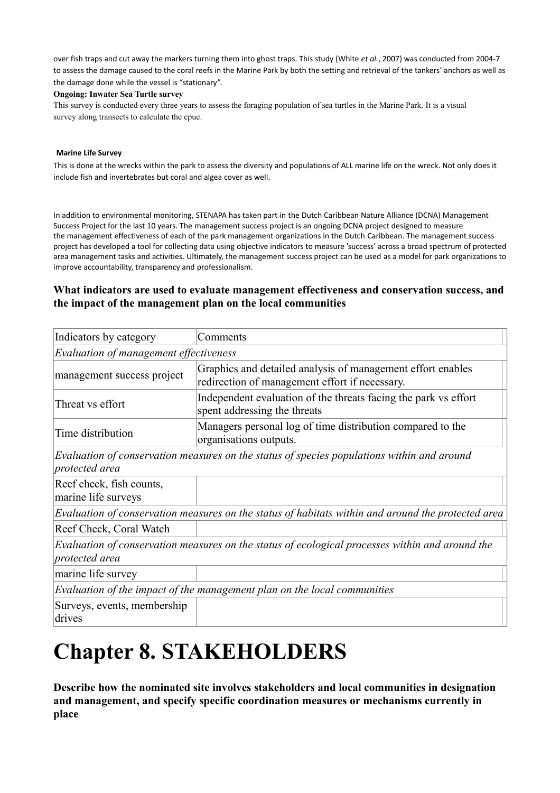over fish traps and cut away the markers turning them into ghost traps. This study (White *et al.*, 2007) was conducted from 2004-7 to assess the damage caused to the coral reefs in the Marine Park by both the setting and retrieval of the tankers' anchors as well as the damage done while the vessel is "stationary".

#### **Ongoing: Inwater Sea Turtle survey**

This survey is conducted every three years to assess the foraging population of sea turtles in the Marine Park. It is a visual survey along transects to calculate the cpue.

#### **Marine Life Survey**

This is done at the wrecks within the park to assess the diversity and populations of ALL marine life on the wreck. Not only does it include fish and invertebrates but coral and algea cover as well.

In addition to environmental monitoring, STENAPA has taken part in the Dutch Caribbean Nature Alliance (DCNA) Management Success Project for the last 10 years. The management success project is an ongoing DCNA project designed to measure the management effectiveness of each of the park management organizations in the Dutch Caribbean. The management success project has developed a tool for collecting data using objective indicators to measure 'success' across a broad spectrum of protected area management tasks and activities. Ultimately, the management success project can be used as a model for park organizations to improve accountability, transparency and professionalism.

### **What indicators are used to evaluate management effectiveness and conservation success, and the impact of the management plan on the local communities**

| Indicators by category                          | Comments                                                                                                      |
|-------------------------------------------------|---------------------------------------------------------------------------------------------------------------|
| Evaluation of management effectiveness          |                                                                                                               |
| management success project                      | Graphics and detailed analysis of management effort enables<br>redirection of management effort if necessary. |
| Threat vs effort                                | Independent evaluation of the threats facing the park vs effort<br>spent addressing the threats               |
| Time distribution                               | Managers personal log of time distribution compared to the<br>organisations outputs.                          |
| protected area                                  | Evaluation of conservation measures on the status of species populations within and around                    |
| Reef check, fish counts,<br>marine life surveys |                                                                                                               |
|                                                 | Evaluation of conservation measures on the status of habitats within and around the protected area            |
| Reef Check, Coral Watch                         |                                                                                                               |
| protected area                                  | Evaluation of conservation measures on the status of ecological processes within and around the               |
| marine life survey                              |                                                                                                               |
|                                                 | Evaluation of the impact of the management plan on the local communities                                      |
| Surveys, events, membership<br>drives           |                                                                                                               |

# **Chapter 8. STAKEHOLDERS**

**Describe how the nominated site involves stakeholders and local communities in designation and management, and specify specific coordination measures or mechanisms currently in place**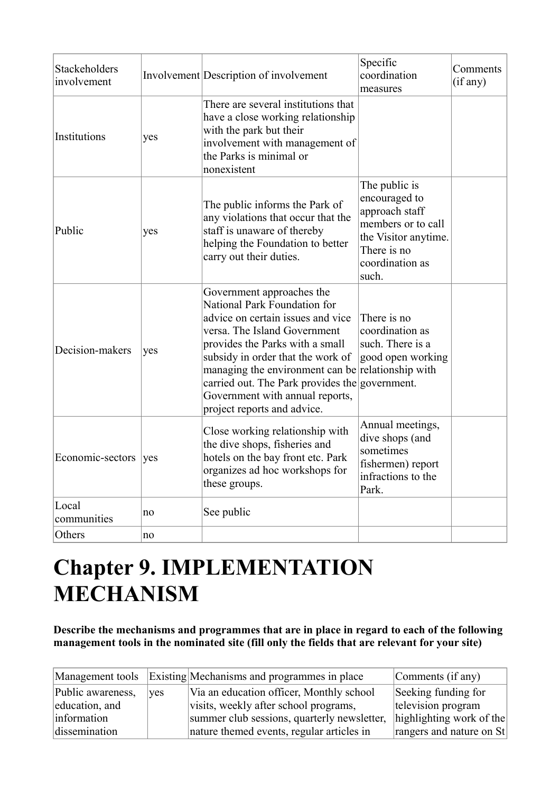| Stackeholders<br>involvement |     | Involvement Description of involvement                                                                                                                                                                                                                                                                                                                                          | Specific<br>coordination<br>measures                                                                                                      | Comments<br>(if any) |
|------------------------------|-----|---------------------------------------------------------------------------------------------------------------------------------------------------------------------------------------------------------------------------------------------------------------------------------------------------------------------------------------------------------------------------------|-------------------------------------------------------------------------------------------------------------------------------------------|----------------------|
| Institutions                 | yes | There are several institutions that<br>have a close working relationship<br>with the park but their<br>involvement with management of<br>the Parks is minimal or<br>nonexistent                                                                                                                                                                                                 |                                                                                                                                           |                      |
| Public                       | yes | The public informs the Park of<br>any violations that occur that the<br>staff is unaware of thereby<br>helping the Foundation to better<br>carry out their duties.                                                                                                                                                                                                              | The public is<br>encouraged to<br>approach staff<br>members or to call<br>the Visitor anytime.<br>There is no<br>coordination as<br>such. |                      |
| Decision-makers              | yes | Government approaches the<br>National Park Foundation for<br>advice on certain issues and vice<br>versa. The Island Government<br>provides the Parks with a small<br>subsidy in order that the work of<br>managing the environment can be relationship with<br>carried out. The Park provides the government.<br>Government with annual reports,<br>project reports and advice. | There is no<br>coordination as<br>such. There is a<br>good open working                                                                   |                      |
| Economic-sectors             | yes | Close working relationship with<br>the dive shops, fisheries and<br>hotels on the bay front etc. Park<br>organizes ad hoc workshops for<br>these groups.                                                                                                                                                                                                                        | Annual meetings,<br>dive shops (and<br>sometimes<br>fishermen) report<br>infractions to the<br>Park.                                      |                      |
| Local<br>communities         | no  | See public                                                                                                                                                                                                                                                                                                                                                                      |                                                                                                                                           |                      |
| Others                       | no  |                                                                                                                                                                                                                                                                                                                                                                                 |                                                                                                                                           |                      |

# **Chapter 9. IMPLEMENTATION MECHANISM**

**Describe the mechanisms and programmes that are in place in regard to each of the following management tools in the nominated site (fill only the fields that are relevant for your site)** 

| Management tools  |            | Existing Mechanisms and programmes in place | Comments (if any)        |
|-------------------|------------|---------------------------------------------|--------------------------|
| Public awareness, | <b>ves</b> | Via an education officer, Monthly school    | Seeking funding for      |
| education, and    |            | visits, weekly after school programs,       | television program       |
| information       |            | summer club sessions, quarterly newsletter, | highlighting work of the |
| dissemination     |            | nature themed events, regular articles in   | rangers and nature on St |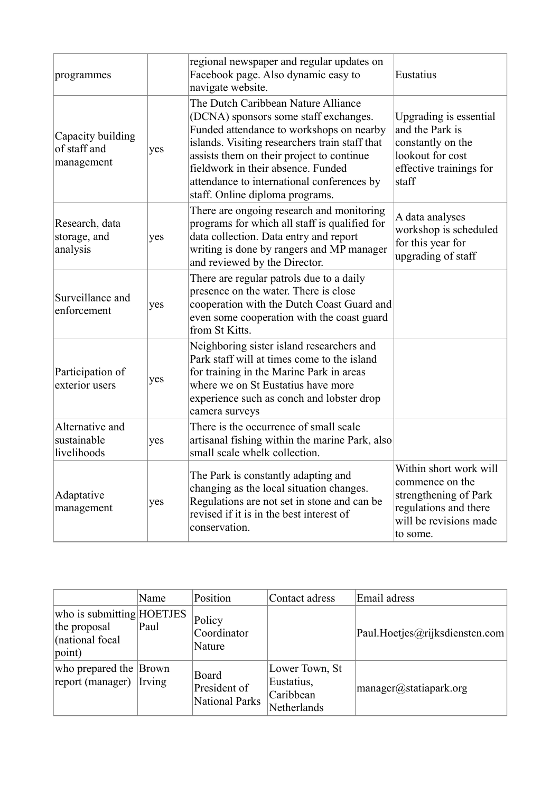| programmes                                      |     | regional newspaper and regular updates on<br>Facebook page. Also dynamic easy to<br>navigate website.                                                                                                                                                                                                                                          | Eustatius                                                                                                                         |
|-------------------------------------------------|-----|------------------------------------------------------------------------------------------------------------------------------------------------------------------------------------------------------------------------------------------------------------------------------------------------------------------------------------------------|-----------------------------------------------------------------------------------------------------------------------------------|
| Capacity building<br>of staff and<br>management | yes | The Dutch Caribbean Nature Alliance<br>(DCNA) sponsors some staff exchanges.<br>Funded attendance to workshops on nearby<br>islands. Visiting researchers train staff that<br>assists them on their project to continue<br>fieldwork in their absence. Funded<br>attendance to international conferences by<br>staff. Online diploma programs. | Upgrading is essential<br>and the Park is<br>constantly on the<br>lookout for cost<br>effective trainings for<br>staff            |
| Research, data<br>storage, and<br>analysis      | yes | There are ongoing research and monitoring<br>programs for which all staff is qualified for<br>data collection. Data entry and report<br>writing is done by rangers and MP manager<br>and reviewed by the Director.                                                                                                                             | A data analyses<br>workshop is scheduled<br>for this year for<br>upgrading of staff                                               |
| Surveillance and<br>enforcement                 | yes | There are regular patrols due to a daily<br>presence on the water. There is close<br>cooperation with the Dutch Coast Guard and<br>even some cooperation with the coast guard<br>from St Kitts.                                                                                                                                                |                                                                                                                                   |
| Participation of<br>exterior users              | yes | Neighboring sister island researchers and<br>Park staff will at times come to the island<br>for training in the Marine Park in areas<br>where we on St Eustatius have more<br>experience such as conch and lobster drop<br>camera surveys                                                                                                      |                                                                                                                                   |
| Alternative and<br>sustainable<br>livelihoods   | yes | There is the occurrence of small scale<br>artisanal fishing within the marine Park, also<br>small scale whelk collection.                                                                                                                                                                                                                      |                                                                                                                                   |
| Adaptative<br>management                        | yes | The Park is constantly adapting and<br>changing as the local situation changes.<br>Regulations are not set in stone and can be<br>revised if it is in the best interest of<br>conservation.                                                                                                                                                    | Within short work will<br>commence on the<br>strengthening of Park<br>regulations and there<br>will be revisions made<br>to some. |

|                                                                                   | Name   | Position                                | Contact adress                                           | Email adress                   |
|-----------------------------------------------------------------------------------|--------|-----------------------------------------|----------------------------------------------------------|--------------------------------|
| who is submitting $HOETJES$<br>the proposal<br>(national focal<br>$ point\rangle$ | Paul   | Policy<br>Coordinator<br>Nature         |                                                          | Paul.Hoetjes@rijksdienstcn.com |
| who prepared the Brown<br>report (manager)                                        | Irving | Board<br>President of<br>National Parks | Lower Town, St<br>Eustatius,<br>Caribbean<br>Netherlands | manager@statiapark.org         |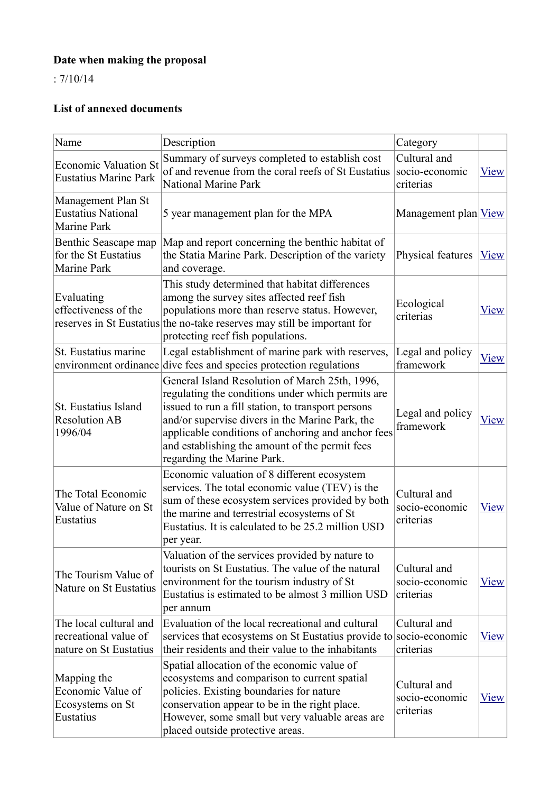# **Date when making the proposal**

: 7/10/14

# **List of annexed documents**

| Name                                                                      | Description                                                                                                                                                                                                                                                                                                                                        | Category                                    |              |
|---------------------------------------------------------------------------|----------------------------------------------------------------------------------------------------------------------------------------------------------------------------------------------------------------------------------------------------------------------------------------------------------------------------------------------------|---------------------------------------------|--------------|
| <b>Economic Valuation St</b><br><b>Eustatius Marine Park</b>              | Summary of surveys completed to establish cost<br>of and revenue from the coral reefs of St Eustatius<br>National Marine Park                                                                                                                                                                                                                      | Cultural and<br>socio-economic<br>criterias | <b>View</b>  |
| Management Plan St<br><b>Eustatius National</b><br><b>Marine Park</b>     | 5 year management plan for the MPA                                                                                                                                                                                                                                                                                                                 | Management plan <u>View</u>                 |              |
| Benthic Seascape map<br>for the St Eustatius<br>Marine Park               | Map and report concerning the benthic habitat of<br>the Statia Marine Park. Description of the variety<br>and coverage.                                                                                                                                                                                                                            | Physical features                           | View         |
| Evaluating<br>effectiveness of the                                        | This study determined that habitat differences<br>among the survey sites affected reef fish<br>populations more than reserve status. However,<br>reserves in St Eustatius the no-take reserves may still be important for<br>protecting reef fish populations.                                                                                     | Ecological<br>criterias                     | <b>V</b> iew |
| St. Eustatius marine<br>environment ordinance                             | Legal establishment of marine park with reserves,<br>dive fees and species protection regulations                                                                                                                                                                                                                                                  | Legal and policy<br>framework               | <b>View</b>  |
| St. Eustatius Island<br><b>Resolution AB</b><br>1996/04                   | General Island Resolution of March 25th, 1996,<br>regulating the conditions under which permits are<br>issued to run a fill station, to transport persons<br>and/or supervise divers in the Marine Park, the<br>applicable conditions of anchoring and anchor fees<br>and establishing the amount of the permit fees<br>regarding the Marine Park. | Legal and policy<br>framework               | View         |
| The Total Economic<br>Value of Nature on St<br>Eustatius                  | Economic valuation of 8 different ecosystem<br>services. The total economic value (TEV) is the<br>sum of these ecosystem services provided by both<br>the marine and terrestrial ecosystems of St<br>Eustatius. It is calculated to be 25.2 million USD<br>per year.                                                                               | Cultural and<br>socio-economic<br>criterias | <b>View</b>  |
| The Tourism Value of<br>Nature on St Eustatius                            | Valuation of the services provided by nature to<br>tourists on St Eustatius. The value of the natural<br>environment for the tourism industry of St<br>Eustatius is estimated to be almost 3 million USD<br>per annum                                                                                                                              | Cultural and<br>socio-economic<br>criterias | <u>View</u>  |
| The local cultural and<br>recreational value of<br>nature on St Eustatius | Evaluation of the local recreational and cultural<br>services that ecosystems on St Eustatius provide to socio-economic<br>their residents and their value to the inhabitants                                                                                                                                                                      | Cultural and<br>criterias                   | <b>View</b>  |
| Mapping the<br>Economic Value of<br>Ecosystems on St<br>Eustatius         | Spatial allocation of the economic value of<br>ecosystems and comparison to current spatial<br>policies. Existing boundaries for nature<br>conservation appear to be in the right place.<br>However, some small but very valuable areas are<br>placed outside protective areas.                                                                    | Cultural and<br>socio-economic<br>criterias | <b>View</b>  |